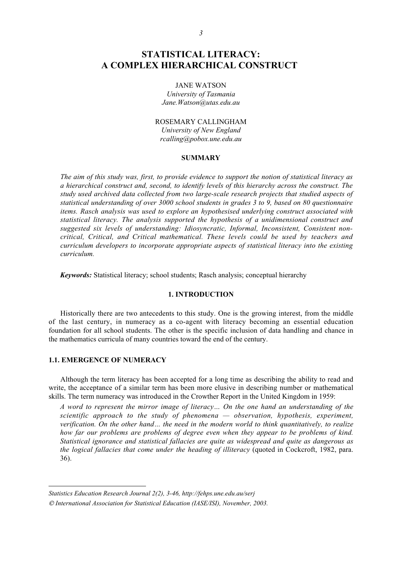# **STATISTICAL LITERACY: A COMPLEX HIERARCHICAL CONSTRUCT<sup>1</sup>**

### JANE WATSON

*University of Tasmania Jane.Watson@utas.edu.au*

# ROSEMARY CALLINGHAM

*University of New England rcalling@pobox.une.edu.au*

#### **SUMMARY**

*The aim of this study was, first, to provide evidence to support the notion of statistical literacy as a hierarchical construct and, second, to identify levels of this hierarchy across the construct. The study used archived data collected from two large-scale research projects that studied aspects of statistical understanding of over 3000 school students in grades 3 to 9, based on 80 questionnaire items. Rasch analysis was used to explore an hypothesised underlying construct associated with statistical literacy. The analysis supported the hypothesis of a unidimensional construct and suggested six levels of understanding: Idiosyncratic, Informal, Inconsistent, Consistent noncritical, Critical, and Critical mathematical. These levels could be used by teachers and curriculum developers to incorporate appropriate aspects of statistical literacy into the existing curriculum.*

*Keywords:* Statistical literacy; school students; Rasch analysis; conceptual hierarchy

# **1. INTRODUCTION**

Historically there are two antecedents to this study. One is the growing interest, from the middle of the last century, in numeracy as a co-agent with literacy becoming an essential education foundation for all school students. The other is the specific inclusion of data handling and chance in the mathematics curricula of many countries toward the end of the century.

# **1.1. EMERGENCE OF NUMERACY**

 $\overline{a}$ 

Although the term literacy has been accepted for a long time as describing the ability to read and write, the acceptance of a similar term has been more elusive in describing number or mathematical skills. The term numeracy was introduced in the Crowther Report in the United Kingdom in 1959:

*A word to represent the mirror image of literacy… On the one hand an understanding of the scientific approach to the study of phenomena — observation, hypothesis, experiment, verification. On the other hand… the need in the modern world to think quantitatively, to realize how far our problems are problems of degree even when they appear to be problems of kind. Statistical ignorance and statistical fallacies are quite as widespread and quite as dangerous as the logical fallacies that come under the heading of illiteracy* (quoted in Cockcroft, 1982, para. 36).

*Statistics Education Research Journal 2(2), 3-46, http://fehps.une.edu.au/serj*

*International Association for Statistical Education (IASE/ISI), November, 2003.*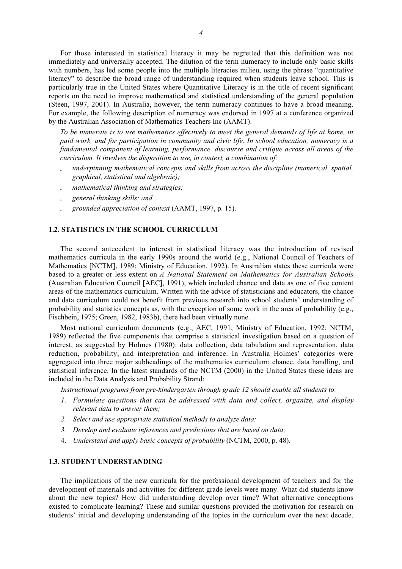For those interested in statistical literacy it may be regretted that this definition was not immediately and universally accepted. The dilution of the term numeracy to include only basic skills with numbers, has led some people into the multiple literacies milieu, using the phrase "quantitative literacy" to describe the broad range of understanding required when students leave school. This is particularly true in the United States where Quantitative Literacy is in the title of recent significant reports on the need to improve mathematical and statistical understanding of the general population (Steen, 1997, 2001). In Australia, however, the term numeracy continues to have a broad meaning. For example, the following description of numeracy was endorsed in 1997 at a conference organized by the Australian Association of Mathematics Teachers Inc (AAMT).

*To be numerate is to use mathematics effectively to meet the general demands of life at home, in paid work, and for participation in community and civic life. In school education, numeracy is a fundamental component of learning, performance, discourse and critique across all areas of the curriculum. It involves the disposition to use, in context, a combination of:*

- *underpinning mathematical concepts and skills from across the discipline (numerical, spatial, graphical, statistical and algebraic);*
- *mathematical thinking and strategies;*
- *general thinking skills; and*
- *grounded appreciation of context* (AAMT, 1997, p. 15).

## **1.2. STATISTICS IN THE SCHOOL CURRICULUM**

The second antecedent to interest in statistical literacy was the introduction of revised mathematics curricula in the early 1990s around the world (e.g., National Council of Teachers of Mathematics [NCTM], 1989; Ministry of Education, 1992). In Australian states these curricula were based to a greater or less extent on *A National Statement on Mathematics for Australian Schools* (Australian Education Council [AEC], 1991), which included chance and data as one of five content areas of the mathematics curriculum. Written with the advice of statisticians and educators, the chance and data curriculum could not benefit from previous research into school students' understanding of probability and statistics concepts as, with the exception of some work in the area of probability (e.g., Fischbein, 1975; Green, 1982, 1983b), there had been virtually none.

Most national curriculum documents (e.g., AEC, 1991; Ministry of Education, 1992; NCTM, 1989) reflected the five components that comprise a statistical investigation based on a question of interest, as suggested by Holmes (1980): data collection, data tabulation and representation, data reduction, probability, and interpretation and inference. In Australia Holmes' categories were aggregated into three major subheadings of the mathematics curriculum: chance, data handling, and statistical inference. In the latest standards of the NCTM (2000) in the United States these ideas are included in the Data Analysis and Probability Strand:

*Instructional programs from pre-kindergarten through grade 12 should enable all students to:*

- *1. Formulate questions that can be addressed with data and collect, organize, and display relevant data to answer them;*
- *2. Select and use appropriate statistical methods to analyze data;*
- *3. Develop and evaluate inferences and predictions that are based on data;*
- 4. *Understand and apply basic concepts of probability* (NCTM, 2000, p. 48).

# **1.3. STUDENT UNDERSTANDING**

The implications of the new curricula for the professional development of teachers and for the development of materials and activities for different grade levels were many. What did students know about the new topics? How did understanding develop over time? What alternative conceptions existed to complicate learning? These and similar questions provided the motivation for research on students' initial and developing understanding of the topics in the curriculum over the next decade.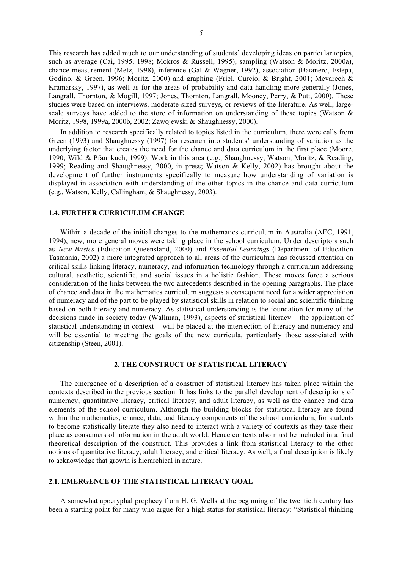This research has added much to our understanding of students' developing ideas on particular topics, such as average (Cai, 1995, 1998; Mokros & Russell, 1995), sampling (Watson & Moritz, 2000a), chance measurement (Metz, 1998), inference (Gal & Wagner, 1992), association (Batanero, Estepa, Godino, & Green, 1996; Moritz, 2000) and graphing (Friel, Curcio, & Bright, 2001; Mevarech & Kramarsky, 1997), as well as for the areas of probability and data handling more generally (Jones, Langrall, Thornton, & Mogill, 1997; Jones, Thornton, Langrall, Mooney, Perry, & Putt, 2000). These studies were based on interviews, moderate-sized surveys, or reviews of the literature. As well, largescale surveys have added to the store of information on understanding of these topics (Watson & Moritz, 1998, 1999a, 2000b, 2002; Zawojewski & Shaughnessy, 2000).

In addition to research specifically related to topics listed in the curriculum, there were calls from Green (1993) and Shaughnessy (1997) for research into students' understanding of variation as the underlying factor that creates the need for the chance and data curriculum in the first place (Moore, 1990; Wild & Pfannkuch, 1999). Work in this area (e.g., Shaughnessy, Watson, Moritz, & Reading, 1999; Reading and Shaughnessy, 2000, in press; Watson & Kelly, 2002) has brought about the development of further instruments specifically to measure how understanding of variation is displayed in association with understanding of the other topics in the chance and data curriculum (e.g., Watson, Kelly, Callingham, & Shaughnessy, 2003).

# **1.4. FURTHER CURRICULUM CHANGE**

Within a decade of the initial changes to the mathematics curriculum in Australia (AEC, 1991, 1994), new, more general moves were taking place in the school curriculum. Under descriptors such as *New Basics* (Education Queensland, 2000) and *Essential Learnings* (Department of Education Tasmania, 2002) a more integrated approach to all areas of the curriculum has focussed attention on critical skills linking literacy, numeracy, and information technology through a curriculum addressing cultural, aesthetic, scientific, and social issues in a holistic fashion. These moves force a serious consideration of the links between the two antecedents described in the opening paragraphs. The place of chance and data in the mathematics curriculum suggests a consequent need for a wider appreciation of numeracy and of the part to be played by statistical skills in relation to social and scientific thinking based on both literacy and numeracy. As statistical understanding is the foundation for many of the decisions made in society today (Wallman, 1993), aspects of statistical literacy – the application of statistical understanding in context – will be placed at the intersection of literacy and numeracy and will be essential to meeting the goals of the new curricula, particularly those associated with citizenship (Steen, 2001).

#### **2. THE CONSTRUCT OF STATISTICAL LITERACY**

The emergence of a description of a construct of statistical literacy has taken place within the contexts described in the previous section. It has links to the parallel development of descriptions of numeracy, quantitative literacy, critical literacy, and adult literacy, as well as the chance and data elements of the school curriculum. Although the building blocks for statistical literacy are found within the mathematics, chance, data, and literacy components of the school curriculum, for students to become statistically literate they also need to interact with a variety of contexts as they take their place as consumers of information in the adult world. Hence contexts also must be included in a final theoretical description of the construct. This provides a link from statistical literacy to the other notions of quantitative literacy, adult literacy, and critical literacy. As well, a final description is likely to acknowledge that growth is hierarchical in nature.

#### **2.1. EMERGENCE OF THE STATISTICAL LITERACY GOAL**

A somewhat apocryphal prophecy from H. G. Wells at the beginning of the twentieth century has been a starting point for many who argue for a high status for statistical literacy: "Statistical thinking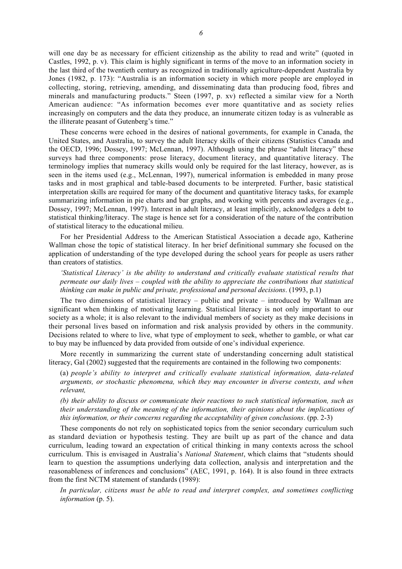will one day be as necessary for efficient citizenship as the ability to read and write" (quoted in Castles, 1992, p. v). This claim is highly significant in terms of the move to an information society in the last third of the twentieth century as recognized in traditionally agriculture-dependent Australia by Jones (1982, p. 173): "Australia is an information society in which more people are employed in collecting, storing, retrieving, amending, and disseminating data than producing food, fibres and minerals and manufacturing products." Steen (1997, p. xv) reflected a similar view for a North American audience: "As information becomes ever more quantitative and as society relies increasingly on computers and the data they produce, an innumerate citizen today is as vulnerable as the illiterate peasant of Gutenberg's time."

These concerns were echoed in the desires of national governments, for example in Canada, the United States, and Australia, to survey the adult literacy skills of their citizens (Statistics Canada and the OECD, 1996; Dossey, 1997; McLennan, 1997). Although using the phrase "adult literacy" these surveys had three components: prose literacy, document literacy, and quantitative literacy. The terminology implies that numeracy skills would only be required for the last literacy, however, as is seen in the items used (e.g., McLennan, 1997), numerical information is embedded in many prose tasks and in most graphical and table-based documents to be interpreted. Further, basic statistical interpretation skills are required for many of the document and quantitative literacy tasks, for example summarizing information in pie charts and bar graphs, and working with percents and averages (e.g., Dossey, 1997; McLennan, 1997). Interest in adult literacy, at least implicitly, acknowledges a debt to statistical thinking/literacy. The stage is hence set for a consideration of the nature of the contribution of statistical literacy to the educational milieu.

For her Presidential Address to the American Statistical Association a decade ago, Katherine Wallman chose the topic of statistical literacy. In her brief definitional summary she focused on the application of understanding of the type developed during the school years for people as users rather than creators of statistics.

*'Statistical Literacy' is the ability to understand and critically evaluate statistical results that permeate our daily lives – coupled with the ability to appreciate the contributions that statistical thinking can make in public and private, professional and personal decisions*. (1993, p.1)

The two dimensions of statistical literacy – public and private – introduced by Wallman are significant when thinking of motivating learning. Statistical literacy is not only important to our society as a whole; it is also relevant to the individual members of society as they make decisions in their personal lives based on information and risk analysis provided by others in the community. Decisions related to where to live, what type of employment to seek, whether to gamble, or what car to buy may be influenced by data provided from outside of one's individual experience.

More recently in summarizing the current state of understanding concerning adult statistical literacy, Gal (2002) suggested that the requirements are contained in the following two components:

(a) *people's ability to interpret and critically evaluate statistical information, data-related arguments, or stochastic phenomena, which they may encounter in diverse contexts, and when relevant,*

*(b) their ability to discuss or communicate their reactions to such statistical information, such as their understanding of the meaning of the information, their opinions about the implications of this information, or their concerns regarding the acceptability of given conclusions*. (pp. 2-3)

These components do not rely on sophisticated topics from the senior secondary curriculum such as standard deviation or hypothesis testing. They are built up as part of the chance and data curriculum, leading toward an expectation of critical thinking in many contexts across the school curriculum. This is envisaged in Australia's *National Statement*, which claims that "students should learn to question the assumptions underlying data collection, analysis and interpretation and the reasonableness of inferences and conclusions" (AEC, 1991, p. 164). It is also found in three extracts from the first NCTM statement of standards (1989):

*In particular, citizens must be able to read and interpret complex, and sometimes conflicting information* (p. 5).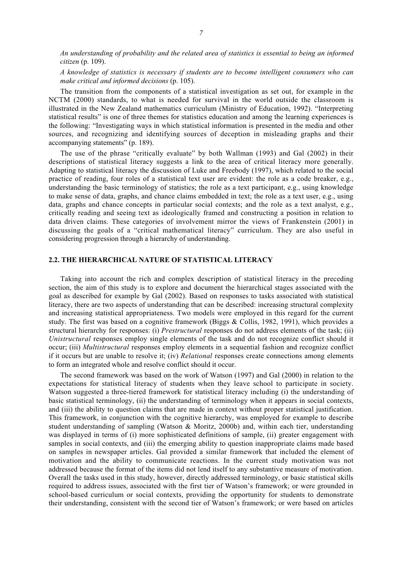*An understanding of probability and the related area of statistics is essential to being an informed citizen* (p. 109).

*A knowledge of statistics is necessary if students are to become intelligent consumers who can make critical and informed decisions* (p. 105).

The transition from the components of a statistical investigation as set out, for example in the NCTM (2000) standards, to what is needed for survival in the world outside the classroom is illustrated in the New Zealand mathematics curriculum (Ministry of Education, 1992). "Interpreting statistical results" is one of three themes for statistics education and among the learning experiences is the following: "Investigating ways in which statistical information is presented in the media and other sources, and recognizing and identifying sources of deception in misleading graphs and their accompanying statements" (p. 189).

The use of the phrase "critically evaluate" by both Wallman (1993) and Gal (2002) in their descriptions of statistical literacy suggests a link to the area of critical literacy more generally. Adapting to statistical literacy the discussion of Luke and Freebody (1997), which related to the social practice of reading, four roles of a statistical text user are evident: the role as a code breaker, e.g., understanding the basic terminology of statistics; the role as a text participant, e.g., using knowledge to make sense of data, graphs, and chance claims embedded in text; the role as a text user, e.g., using data, graphs and chance concepts in particular social contexts; and the role as a text analyst, e.g., critically reading and seeing text as ideologically framed and constructing a position in relation to data driven claims. These categories of involvement mirror the views of Frankenstein (2001) in discussing the goals of a "critical mathematical literacy" curriculum. They are also useful in considering progression through a hierarchy of understanding.

### **2.2. THE HIERARCHICAL NATURE OF STATISTICAL LITERACY**

Taking into account the rich and complex description of statistical literacy in the preceding section, the aim of this study is to explore and document the hierarchical stages associated with the goal as described for example by Gal (2002). Based on responses to tasks associated with statistical literacy, there are two aspects of understanding that can be described: increasing structural complexity and increasing statistical appropriateness. Two models were employed in this regard for the current study. The first was based on a cognitive framework (Biggs & Collis, 1982, 1991), which provides a structural hierarchy for responses: (i) *Prestructural* responses do not address elements of the task; (ii) *Unistructural* responses employ single elements of the task and do not recognize conflict should it occur; (iii) *Multistructural* responses employ elements in a sequential fashion and recognize conflict if it occurs but are unable to resolve it; (iv) *Relational* responses create connections among elements to form an integrated whole and resolve conflict should it occur.

The second framework was based on the work of Watson (1997) and Gal (2000) in relation to the expectations for statistical literacy of students when they leave school to participate in society. Watson suggested a three-tiered framework for statistical literacy including (i) the understanding of basic statistical terminology, (ii) the understanding of terminology when it appears in social contexts, and (iii) the ability to question claims that are made in context without proper statistical justification. This framework, in conjunction with the cognitive hierarchy, was employed for example to describe student understanding of sampling (Watson & Moritz, 2000b) and, within each tier, understanding was displayed in terms of (i) more sophisticated definitions of sample, (ii) greater engagement with samples in social contexts, and (iii) the emerging ability to question inappropriate claims made based on samples in newspaper articles. Gal provided a similar framework that included the element of motivation and the ability to communicate reactions. In the current study motivation was not addressed because the format of the items did not lend itself to any substantive measure of motivation. Overall the tasks used in this study, however, directly addressed terminology, or basic statistical skills required to address issues, associated with the first tier of Watson's framework; or were grounded in school-based curriculum or social contexts, providing the opportunity for students to demonstrate their understanding, consistent with the second tier of Watson's framework; or were based on articles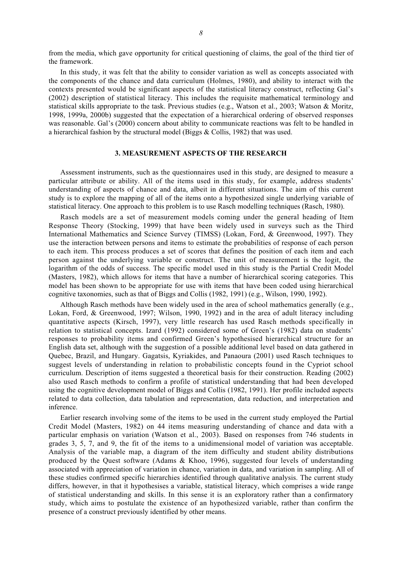from the media, which gave opportunity for critical questioning of claims, the goal of the third tier of the framework.

In this study, it was felt that the ability to consider variation as well as concepts associated with the components of the chance and data curriculum (Holmes, 1980), and ability to interact with the contexts presented would be significant aspects of the statistical literacy construct, reflecting Gal's (2002) description of statistical literacy. This includes the requisite mathematical terminology and statistical skills appropriate to the task. Previous studies (e.g., Watson et al., 2003; Watson & Moritz, 1998, 1999a, 2000b) suggested that the expectation of a hierarchical ordering of observed responses was reasonable. Gal's (2000) concern about ability to communicate reactions was felt to be handled in a hierarchical fashion by the structural model (Biggs & Collis, 1982) that was used.

# **3. MEASUREMENT ASPECTS OF THE RESEARCH**

Assessment instruments, such as the questionnaires used in this study, are designed to measure a particular attribute or ability. All of the items used in this study, for example, address students' understanding of aspects of chance and data, albeit in different situations. The aim of this current study is to explore the mapping of all of the items onto a hypothesized single underlying variable of statistical literacy. One approach to this problem is to use Rasch modelling techniques (Rasch, 1980).

Rasch models are a set of measurement models coming under the general heading of Item Response Theory (Stocking, 1999) that have been widely used in surveys such as the Third International Mathematics and Science Survey (TIMSS) (Lokan, Ford, & Greenwood, 1997). They use the interaction between persons and items to estimate the probabilities of response of each person to each item. This process produces a set of scores that defines the position of each item and each person against the underlying variable or construct. The unit of measurement is the logit, the logarithm of the odds of success. The specific model used in this study is the Partial Credit Model (Masters, 1982), which allows for items that have a number of hierarchical scoring categories. This model has been shown to be appropriate for use with items that have been coded using hierarchical cognitive taxonomies, such as that of Biggs and Collis (1982, 1991) (e.g., Wilson, 1990, 1992).

Although Rasch methods have been widely used in the area of school mathematics generally (e.g., Lokan, Ford, & Greenwood, 1997; Wilson, 1990, 1992) and in the area of adult literacy including quantitative aspects (Kirsch, 1997), very little research has used Rasch methods specifically in relation to statistical concepts. Izard (1992) considered some of Green's (1982) data on students' responses to probability items and confirmed Green's hypothesised hierarchical structure for an English data set, although with the suggestion of a possible additional level based on data gathered in Quebec, Brazil, and Hungary. Gagatsis, Kyriakides, and Panaoura (2001) used Rasch techniques to suggest levels of understanding in relation to probabilistic concepts found in the Cypriot school curriculum. Description of items suggested a theoretical basis for their construction. Reading (2002) also used Rasch methods to confirm a profile of statistical understanding that had been developed using the cognitive development model of Biggs and Collis (1982, 1991). Her profile included aspects related to data collection, data tabulation and representation, data reduction, and interpretation and inference.

Earlier research involving some of the items to be used in the current study employed the Partial Credit Model (Masters, 1982) on 44 items measuring understanding of chance and data with a particular emphasis on variation (Watson et al., 2003). Based on responses from 746 students in grades 3, 5, 7, and 9, the fit of the items to a unidimensional model of variation was acceptable. Analysis of the variable map, a diagram of the item difficulty and student ability distributions produced by the Quest software (Adams & Khoo, 1996), suggested four levels of understanding associated with appreciation of variation in chance, variation in data, and variation in sampling. All of these studies confirmed specific hierarchies identified through qualitative analysis. The current study differs, however, in that it hypothesises a variable, statistical literacy, which comprises a wide range of statistical understanding and skills. In this sense it is an exploratory rather than a confirmatory study, which aims to postulate the existence of an hypothesized variable, rather than confirm the presence of a construct previously identified by other means.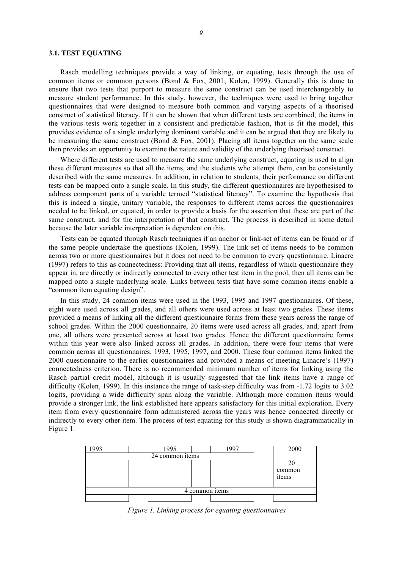#### **3.1. TEST EQUATING**

Rasch modelling techniques provide a way of linking, or equating, tests through the use of common items or common persons (Bond & Fox, 2001; Kolen, 1999). Generally this is done to ensure that two tests that purport to measure the same construct can be used interchangeably to measure student performance. In this study, however, the techniques were used to bring together questionnaires that were designed to measure both common and varying aspects of a theorised construct of statistical literacy. If it can be shown that when different tests are combined, the items in the various tests work together in a consistent and predictable fashion, that is fit the model, this provides evidence of a single underlying dominant variable and it can be argued that they are likely to be measuring the same construct (Bond  $&$  Fox, 2001). Placing all items together on the same scale then provides an opportunity to examine the nature and validity of the underlying theorised construct.

Where different tests are used to measure the same underlying construct, equating is used to align these different measures so that all the items, and the students who attempt them, can be consistently described with the same measures. In addition, in relation to students, their performance on different tests can be mapped onto a single scale. In this study, the different questionnaires are hypothesised to address component parts of a variable termed "statistical literacy". To examine the hypothesis that this is indeed a single, unitary variable, the responses to different items across the questionnaires needed to be linked, or equated, in order to provide a basis for the assertion that these are part of the same construct, and for the interpretation of that construct. The process is described in some detail because the later variable interpretation is dependent on this.

Tests can be equated through Rasch techniques if an anchor or link-set of items can be found or if the same people undertake the questions (Kolen, 1999). The link set of items needs to be common across two or more questionnaires but it does not need to be common to every questionnaire. Linacre (1997) refers to this as connectedness: Providing that all items, regardless of which questionnaire they appear in, are directly or indirectly connected to every other test item in the pool, then all items can be mapped onto a single underlying scale. Links between tests that have some common items enable a "common item equating design".

In this study, 24 common items were used in the 1993, 1995 and 1997 questionnaires. Of these, eight were used across all grades, and all others were used across at least two grades. These items provided a means of linking all the different questionnaire forms from these years across the range of school grades. Within the 2000 questionnaire, 20 items were used across all grades, and, apart from one, all others were presented across at least two grades. Hence the different questionnaire forms within this year were also linked across all grades. In addition, there were four items that were common across all questionnaires, 1993, 1995, 1997, and 2000. These four common items linked the 2000 questionnaire to the earlier questionnaires and provided a means of meeting Linacre's (1997) connectedness criterion. There is no recommended minimum number of items for linking using the Rasch partial credit model, although it is usually suggested that the link items have a range of difficulty (Kolen, 1999). In this instance the range of task-step difficulty was from -1.72 logits to 3.02 logits, providing a wide difficulty span along the variable. Although more common items would provide a stronger link, the link established here appears satisfactory for this initial exploration. Every item from every questionnaire form administered across the years was hence connected directly or indirectly to every other item. The process of test equating for this study is shown diagrammatically in Figure 1.



*Figure 1. Linking process for equating questionnaires*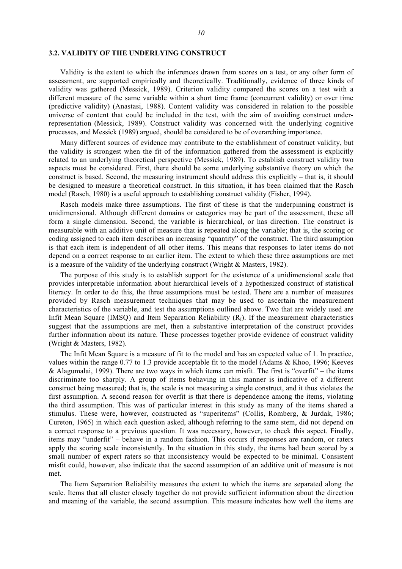### **3.2. VALIDITY OF THE UNDERLYING CONSTRUCT**

Validity is the extent to which the inferences drawn from scores on a test, or any other form of assessment, are supported empirically and theoretically. Traditionally, evidence of three kinds of validity was gathered (Messick, 1989). Criterion validity compared the scores on a test with a different measure of the same variable within a short time frame (concurrent validity) or over time (predictive validity) (Anastasi, 1988). Content validity was considered in relation to the possible universe of content that could be included in the test, with the aim of avoiding construct underrepresentation (Messick, 1989). Construct validity was concerned with the underlying cognitive processes, and Messick (1989) argued, should be considered to be of overarching importance.

Many different sources of evidence may contribute to the establishment of construct validity, but the validity is strongest when the fit of the information gathered from the assessment is explicitly related to an underlying theoretical perspective (Messick, 1989). To establish construct validity two aspects must be considered. First, there should be some underlying substantive theory on which the construct is based. Second, the measuring instrument should address this explicitly – that is, it should be designed to measure a theoretical construct. In this situation, it has been claimed that the Rasch model (Rasch, 1980) is a useful approach to establishing construct validity (Fisher, 1994).

Rasch models make three assumptions. The first of these is that the underpinning construct is unidimensional. Although different domains or categories may be part of the assessment, these all form a single dimension. Second, the variable is hierarchical, or has direction. The construct is measurable with an additive unit of measure that is repeated along the variable; that is, the scoring or coding assigned to each item describes an increasing "quantity" of the construct. The third assumption is that each item is independent of all other items. This means that responses to later items do not depend on a correct response to an earlier item. The extent to which these three assumptions are met is a measure of the validity of the underlying construct (Wright & Masters, 1982).

The purpose of this study is to establish support for the existence of a unidimensional scale that provides interpretable information about hierarchical levels of a hypothesized construct of statistical literacy. In order to do this, the three assumptions must be tested. There are a number of measures provided by Rasch measurement techniques that may be used to ascertain the measurement characteristics of the variable, and test the assumptions outlined above. Two that are widely used are Infit Mean Square (IMSQ) and Item Separation Reliability  $(R<sub>1</sub>)$ . If the measurement characteristics suggest that the assumptions are met, then a substantive interpretation of the construct provides further information about its nature. These processes together provide evidence of construct validity (Wright & Masters, 1982).

The Infit Mean Square is a measure of fit to the model and has an expected value of 1. In practice, values within the range 0.77 to 1.3 provide acceptable fit to the model (Adams & Khoo, 1996; Keeves & Alagumalai, 1999). There are two ways in which items can misfit. The first is "overfit" – the items discriminate too sharply. A group of items behaving in this manner is indicative of a different construct being measured; that is, the scale is not measuring a single construct, and it thus violates the first assumption. A second reason for overfit is that there is dependence among the items, violating the third assumption. This was of particular interest in this study as many of the items shared a stimulus. These were, however, constructed as "superitems" (Collis, Romberg, & Jurdak, 1986; Cureton, 1965) in which each question asked, although referring to the same stem, did not depend on a correct response to a previous question. It was necessary, however, to check this aspect. Finally, items may "underfit" – behave in a random fashion. This occurs if responses are random, or raters apply the scoring scale inconsistently. In the situation in this study, the items had been scored by a small number of expert raters so that inconsistency would be expected to be minimal. Consistent misfit could, however, also indicate that the second assumption of an additive unit of measure is not met.

The Item Separation Reliability measures the extent to which the items are separated along the scale. Items that all cluster closely together do not provide sufficient information about the direction and meaning of the variable, the second assumption. This measure indicates how well the items are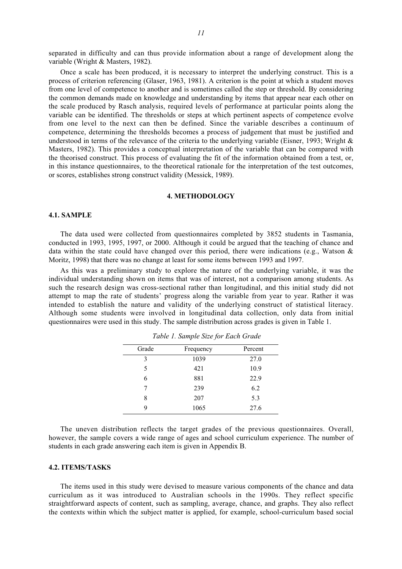separated in difficulty and can thus provide information about a range of development along the variable (Wright & Masters, 1982).

Once a scale has been produced, it is necessary to interpret the underlying construct. This is a process of criterion referencing (Glaser, 1963, 1981). A criterion is the point at which a student moves from one level of competence to another and is sometimes called the step or threshold. By considering the common demands made on knowledge and understanding by items that appear near each other on the scale produced by Rasch analysis, required levels of performance at particular points along the variable can be identified. The thresholds or steps at which pertinent aspects of competence evolve from one level to the next can then be defined. Since the variable describes a continuum of competence, determining the thresholds becomes a process of judgement that must be justified and understood in terms of the relevance of the criteria to the underlying variable (Eisner, 1993; Wright & Masters, 1982). This provides a conceptual interpretation of the variable that can be compared with the theorised construct. This process of evaluating the fit of the information obtained from a test, or, in this instance questionnaires, to the theoretical rationale for the interpretation of the test outcomes, or scores, establishes strong construct validity (Messick, 1989).

### **4. METHODOLOGY**

### **4.1. SAMPLE**

The data used were collected from questionnaires completed by 3852 students in Tasmania, conducted in 1993, 1995, 1997, or 2000. Although it could be argued that the teaching of chance and data within the state could have changed over this period, there were indications (e.g., Watson & Moritz, 1998) that there was no change at least for some items between 1993 and 1997.

As this was a preliminary study to explore the nature of the underlying variable, it was the individual understanding shown on items that was of interest, not a comparison among students. As such the research design was cross-sectional rather than longitudinal, and this initial study did not attempt to map the rate of students' progress along the variable from year to year. Rather it was intended to establish the nature and validity of the underlying construct of statistical literacy. Although some students were involved in longitudinal data collection, only data from initial questionnaires were used in this study. The sample distribution across grades is given in Table 1.

| Grade | Frequency | Percent |
|-------|-----------|---------|
| 3     | 1039      | 27.0    |
| 5     | 421       | 10.9    |
| 6     | 881       | 22.9    |
| 7     | 239       | 6.2     |
| 8     | 207       | 5.3     |
| 9     | 1065      | 27.6    |
|       |           |         |

*Table 1. Sample Size for Each Grade*

The uneven distribution reflects the target grades of the previous questionnaires. Overall, however, the sample covers a wide range of ages and school curriculum experience. The number of students in each grade answering each item is given in Appendix B.

### **4.2. ITEMS/TASKS**

The items used in this study were devised to measure various components of the chance and data curriculum as it was introduced to Australian schools in the 1990s. They reflect specific straightforward aspects of content, such as sampling, average, chance, and graphs. They also reflect the contexts within which the subject matter is applied, for example, school-curriculum based social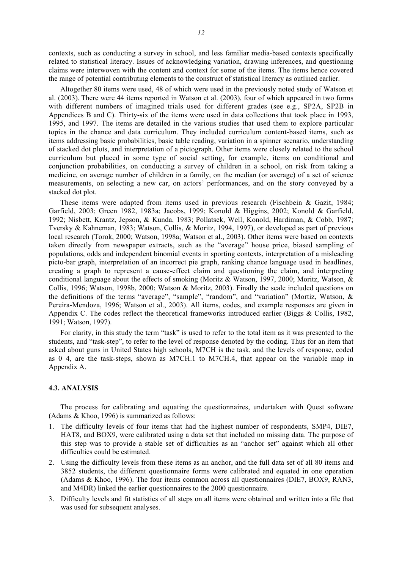contexts, such as conducting a survey in school, and less familiar media-based contexts specifically related to statistical literacy. Issues of acknowledging variation, drawing inferences, and questioning claims were interwoven with the content and context for some of the items. The items hence covered the range of potential contributing elements to the construct of statistical literacy as outlined earlier.

Altogether 80 items were used, 48 of which were used in the previously noted study of Watson et al. (2003). There were 44 items reported in Watson et al. (2003), four of which appeared in two forms with different numbers of imagined trials used for different grades (see e.g., SP2A, SP2B in Appendices B and C). Thirty-six of the items were used in data collections that took place in 1993, 1995, and 1997. The items are detailed in the various studies that used them to explore particular topics in the chance and data curriculum. They included curriculum content-based items, such as items addressing basic probabilities, basic table reading, variation in a spinner scenario, understanding of stacked dot plots, and interpretation of a pictograph. Other items were closely related to the school curriculum but placed in some type of social setting, for example, items on conditional and conjunction probabilities, on conducting a survey of children in a school, on risk from taking a medicine, on average number of children in a family, on the median (or average) of a set of science measurements, on selecting a new car, on actors' performances, and on the story conveyed by a stacked dot plot.

These items were adapted from items used in previous research (Fischbein & Gazit, 1984; Garfield, 2003; Green 1982, 1983a; Jacobs, 1999; Konold & Higgins, 2002; Konold & Garfield, 1992; Nisbett, Krantz, Jepson, & Kunda, 1983; Pollatsek, Well, Konold, Hardiman, & Cobb, 1987; Tversky & Kahneman, 1983; Watson, Collis, & Moritz, 1994, 1997), or developed as part of previous local research (Torok, 2000; Watson, 1998a; Watson et al., 2003). Other items were based on contexts taken directly from newspaper extracts, such as the "average" house price, biased sampling of populations, odds and independent binomial events in sporting contexts, interpretation of a misleading picto-bar graph, interpretation of an incorrect pie graph, ranking chance language used in headlines, creating a graph to represent a cause-effect claim and questioning the claim, and interpreting conditional language about the effects of smoking (Moritz & Watson, 1997, 2000; Moritz, Watson, & Collis, 1996; Watson, 1998b, 2000; Watson & Moritz, 2003). Finally the scale included questions on the definitions of the terms "average", "sample", "random", and "variation" (Mortiz, Watson, & Pereira-Mendoza, 1996; Watson et al., 2003). All items, codes, and example responses are given in Appendix C. The codes reflect the theoretical frameworks introduced earlier (Biggs & Collis, 1982, 1991; Watson, 1997).

For clarity, in this study the term "task" is used to refer to the total item as it was presented to the students, and "task-step", to refer to the level of response denoted by the coding. Thus for an item that asked about guns in United States high schools, M7CH is the task, and the levels of response, coded as 0–4, are the task-steps, shown as M7CH.1 to M7CH.4, that appear on the variable map in Appendix A.

### **4.3. ANALYSIS**

The process for calibrating and equating the questionnaires, undertaken with Quest software (Adams & Khoo, 1996) is summarized as follows:

- 1. The difficulty levels of four items that had the highest number of respondents, SMP4, DIE7, HAT8, and BOX9, were calibrated using a data set that included no missing data. The purpose of this step was to provide a stable set of difficulties as an "anchor set" against which all other difficulties could be estimated.
- 2. Using the difficulty levels from these items as an anchor, and the full data set of all 80 items and 3852 students, the different questionnaire forms were calibrated and equated in one operation (Adams & Khoo, 1996). The four items common across all questionnaires (DIE7, BOX9, RAN3, and M4DR) linked the earlier questionnaires to the 2000 questionnaire.
- 3. Difficulty levels and fit statistics of all steps on all items were obtained and written into a file that was used for subsequent analyses.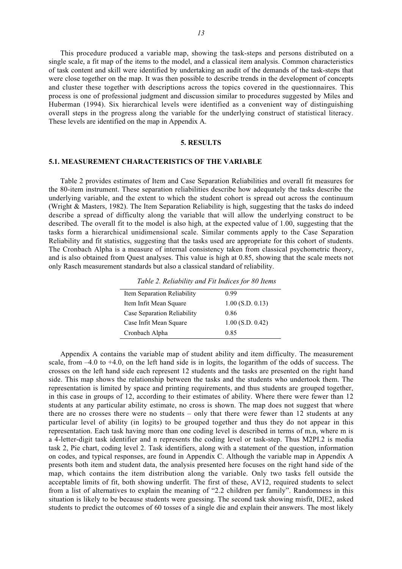This procedure produced a variable map, showing the task-steps and persons distributed on a single scale, a fit map of the items to the model, and a classical item analysis. Common characteristics of task content and skill were identified by undertaking an audit of the demands of the task-steps that were close together on the map. It was then possible to describe trends in the development of concepts and cluster these together with descriptions across the topics covered in the questionnaires. This process is one of professional judgment and discussion similar to procedures suggested by Miles and Huberman (1994). Six hierarchical levels were identified as a convenient way of distinguishing overall steps in the progress along the variable for the underlying construct of statistical literacy. These levels are identified on the map in Appendix A.

### **5. RESULTS**

# **5.1. MEASUREMENT CHARACTERISTICS OF THE VARIABLE**

Table 2 provides estimates of Item and Case Separation Reliabilities and overall fit measures for the 80-item instrument. These separation reliabilities describe how adequately the tasks describe the underlying variable, and the extent to which the student cohort is spread out across the continuum (Wright & Masters, 1982). The Item Separation Reliability is high, suggesting that the tasks do indeed describe a spread of difficulty along the variable that will allow the underlying construct to be described. The overall fit to the model is also high, at the expected value of 1.00, suggesting that the tasks form a hierarchical unidimensional scale. Similar comments apply to the Case Separation Reliability and fit statistics, suggesting that the tasks used are appropriate for this cohort of students. The Cronbach Alpha is a measure of internal consistency taken from classical psychometric theory, and is also obtained from Quest analyses. This value is high at 0.85, showing that the scale meets not only Rasch measurement standards but also a classical standard of reliability.

| Table 2. Reliability and Fit Indices for 80 Items |  |  |
|---------------------------------------------------|--|--|
|                                                   |  |  |

| Item Separation Reliability | 0.99               |
|-----------------------------|--------------------|
| Item Infit Mean Square      | $1.00$ (S.D. 0.13) |
| Case Separation Reliability | 0.86               |
| Case Infit Mean Square      | $1.00$ (S.D. 0.42) |
| Cronbach Alpha              | 0.85               |
|                             |                    |

Appendix A contains the variable map of student ability and item difficulty. The measurement scale, from –4.0 to +4.0, on the left hand side is in logits, the logarithm of the odds of success. The crosses on the left hand side each represent 12 students and the tasks are presented on the right hand side. This map shows the relationship between the tasks and the students who undertook them. The representation is limited by space and printing requirements, and thus students are grouped together, in this case in groups of 12, according to their estimates of ability. Where there were fewer than 12 students at any particular ability estimate, no cross is shown. The map does not suggest that where there are no crosses there were no students – only that there were fewer than 12 students at any particular level of ability (in logits) to be grouped together and thus they do not appear in this representation. Each task having more than one coding level is described in terms of m.n, where m is a 4-letter-digit task identifier and n represents the coding level or task-step. Thus M2PI.2 is media task 2, Pie chart, coding level 2. Task identifiers, along with a statement of the question, information on codes, and typical responses, are found in Appendix C. Although the variable map in Appendix A presents both item and student data, the analysis presented here focuses on the right hand side of the map, which contains the item distribution along the variable. Only two tasks fell outside the acceptable limits of fit, both showing underfit. The first of these, AV12, required students to select from a list of alternatives to explain the meaning of "2.2 children per family". Randomness in this situation is likely to be because students were guessing. The second task showing misfit, DIE2, asked students to predict the outcomes of 60 tosses of a single die and explain their answers. The most likely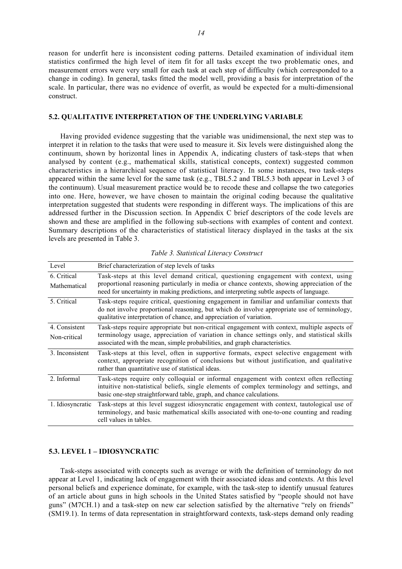reason for underfit here is inconsistent coding patterns. Detailed examination of individual item statistics confirmed the high level of item fit for all tasks except the two problematic ones, and measurement errors were very small for each task at each step of difficulty (which corresponded to a change in coding). In general, tasks fitted the model well, providing a basis for interpretation of the scale. In particular, there was no evidence of overfit, as would be expected for a multi-dimensional construct.

#### **5.2. QUALITATIVE INTERPRETATION OF THE UNDERLYING VARIABLE**

Having provided evidence suggesting that the variable was unidimensional, the next step was to interpret it in relation to the tasks that were used to measure it. Six levels were distinguished along the continuum, shown by horizontal lines in Appendix A, indicating clusters of task-steps that when analysed by content (e.g., mathematical skills, statistical concepts, context) suggested common characteristics in a hierarchical sequence of statistical literacy. In some instances, two task-steps appeared within the same level for the same task (e.g., TBL5.2 and TBL5.3 both appear in Level 3 of the continuum). Usual measurement practice would be to recode these and collapse the two categories into one. Here, however, we have chosen to maintain the original coding because the qualitative interpretation suggested that students were responding in different ways. The implications of this are addressed further in the Discussion section. In Appendix C brief descriptors of the code levels are shown and these are amplified in the following sub-sections with examples of content and context. Summary descriptions of the characteristics of statistical literacy displayed in the tasks at the six levels are presented in Table 3.

| Level                         | Brief characterization of step levels of tasks                                                                                                                                                                                                                                   |
|-------------------------------|----------------------------------------------------------------------------------------------------------------------------------------------------------------------------------------------------------------------------------------------------------------------------------|
| 6. Critical<br>Mathematical   | Task-steps at this level demand critical, questioning engagement with context, using<br>proportional reasoning particularly in media or chance contexts, showing appreciation of the<br>need for uncertainty in making predictions, and interpreting subtle aspects of language. |
| 5. Critical                   | Task-steps require critical, questioning engagement in familiar and unfamiliar contexts that<br>do not involve proportional reasoning, but which do involve appropriate use of terminology,<br>qualitative interpretation of chance, and appreciation of variation.              |
| 4. Consistent<br>Non-critical | Task-steps require appropriate but non-critical engagement with context, multiple aspects of<br>terminology usage, appreciation of variation in chance settings only, and statistical skills<br>associated with the mean, simple probabilities, and graph characteristics.       |
| 3. Inconsistent               | Task-steps at this level, often in supportive formats, expect selective engagement with<br>context, appropriate recognition of conclusions but without justification, and qualitative<br>rather than quantitative use of statistical ideas.                                      |
| 2. Informal                   | Task-steps require only colloquial or informal engagement with context often reflecting<br>intuitive non-statistical beliefs, single elements of complex terminology and settings, and<br>basic one-step straightforward table, graph, and chance calculations.                  |
| 1. Idiosyncratic              | Task-steps at this level suggest idiosyncratic engagement with context, tautological use of<br>terminology, and basic mathematical skills associated with one-to-one counting and reading<br>cell values in tables.                                                              |

*Table 3. Statistical Literacy Construct*

### **5.3. LEVEL 1 – IDIOSYNCRATIC**

Task-steps associated with concepts such as average or with the definition of terminology do not appear at Level 1, indicating lack of engagement with their associated ideas and contexts. At this level personal beliefs and experience dominate, for example, with the task-step to identify unusual features of an article about guns in high schools in the United States satisfied by "people should not have guns" (M7CH.1) and a task-step on new car selection satisfied by the alternative "rely on friends" (SM19.1). In terms of data representation in straightforward contexts, task-steps demand only reading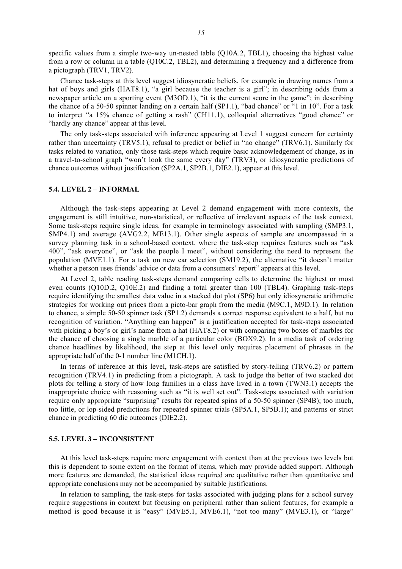specific values from a simple two-way un-nested table (Q10A.2, TBL1), choosing the highest value from a row or column in a table (Q10C.2, TBL2), and determining a frequency and a difference from a pictograph (TRV1, TRV2).

Chance task-steps at this level suggest idiosyncratic beliefs, for example in drawing names from a hat of boys and girls (HAT8.1), "a girl because the teacher is a girl"; in describing odds from a newspaper article on a sporting event (M3OD.1), "it is the current score in the game"; in describing the chance of a 50-50 spinner landing on a certain half (SP1.1), "bad chance" or "1 in 10". For a task to interpret "a 15% chance of getting a rash" (CH11.1), colloquial alternatives "good chance" or "hardly any chance" appear at this level.

The only task-steps associated with inference appearing at Level 1 suggest concern for certainty rather than uncertainty (TRV5.1), refusal to predict or belief in "no change" (TRV6.1). Similarly for tasks related to variation, only those task-steps which require basic acknowledgement of change, as in a travel-to-school graph "won't look the same every day" (TRV3), or idiosyncratic predictions of chance outcomes without justification (SP2A.1, SP2B.1, DIE2.1), appear at this level.

#### **5.4. LEVEL 2 – INFORMAL**

Although the task-steps appearing at Level 2 demand engagement with more contexts, the engagement is still intuitive, non-statistical, or reflective of irrelevant aspects of the task context. Some task-steps require single ideas, for example in terminology associated with sampling (SMP3.1, SMP4.1) and average (AVG2.2, ME13.1). Other single aspects of sample are encompassed in a survey planning task in a school-based context, where the task-step requires features such as "ask 400", "ask everyone", or "ask the people I meet", without considering the need to represent the population (MVE1.1). For a task on new car selection (SM19.2), the alternative "it doesn't matter whether a person uses friends' advice or data from a consumers' report" appears at this level.

At Level 2, table reading task-steps demand comparing cells to determine the highest or most even counts (Q10D.2, Q10E.2) and finding a total greater than 100 (TBL4). Graphing task-steps require identifying the smallest data value in a stacked dot plot (SP6) but only idiosyncratic arithmetic strategies for working out prices from a picto-bar graph from the media (M9C.1, M9D.1). In relation to chance, a simple 50-50 spinner task (SP1.2) demands a correct response equivalent to a half, but no recognition of variation. "Anything can happen" is a justification accepted for task-steps associated with picking a boy's or girl's name from a hat (HAT8.2) or with comparing two boxes of marbles for the chance of choosing a single marble of a particular color (BOX9.2). In a media task of ordering chance headlines by likelihood, the step at this level only requires placement of phrases in the appropriate half of the 0-1 number line (M1CH.1).

In terms of inference at this level, task-steps are satisfied by story-telling (TRV6.2) or pattern recognition (TRV4.1) in predicting from a pictograph. A task to judge the better of two stacked dot plots for telling a story of how long families in a class have lived in a town (TWN3.1) accepts the inappropriate choice with reasoning such as "it is well set out". Task-steps associated with variation require only appropriate "surprising" results for repeated spins of a 50-50 spinner (SP4B); too much, too little, or lop-sided predictions for repeated spinner trials (SP5A.1, SP5B.1); and patterns or strict chance in predicting 60 die outcomes (DIE2.2).

#### **5.5. LEVEL 3 – INCONSISTENT**

At this level task-steps require more engagement with context than at the previous two levels but this is dependent to some extent on the format of items, which may provide added support. Although more features are demanded, the statistical ideas required are qualitative rather than quantitative and appropriate conclusions may not be accompanied by suitable justifications.

In relation to sampling, the task-steps for tasks associated with judging plans for a school survey require suggestions in context but focusing on peripheral rather than salient features, for example a method is good because it is "easy" (MVE5.1, MVE6.1), "not too many" (MVE3.1), or "large"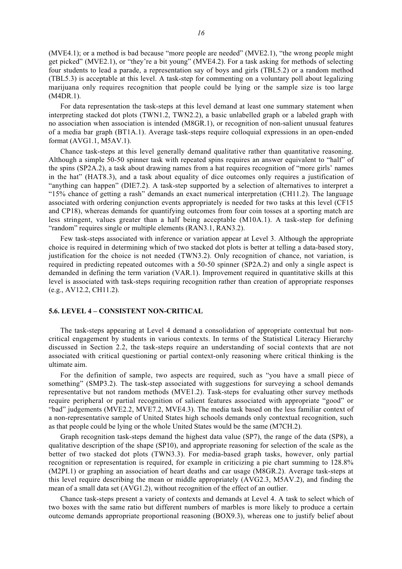(MVE4.1); or a method is bad because "more people are needed" (MVE2.1), "the wrong people might get picked" (MVE2.1), or "they're a bit young" (MVE4.2). For a task asking for methods of selecting four students to lead a parade, a representation say of boys and girls (TBL5.2) or a random method (TBL5.3) is acceptable at this level. A task-step for commenting on a voluntary poll about legalizing marijuana only requires recognition that people could be lying or the sample size is too large (M4DR.1).

For data representation the task-steps at this level demand at least one summary statement when interpreting stacked dot plots (TWN1.2, TWN2.2), a basic unlabelled graph or a labeled graph with no association when association is intended (M8GR.1), or recognition of non-salient unusual features of a media bar graph (BT1A.1). Average task-steps require colloquial expressions in an open-ended format (AVG1.1, M5AV.1).

Chance task-steps at this level generally demand qualitative rather than quantitative reasoning. Although a simple 50-50 spinner task with repeated spins requires an answer equivalent to "half" of the spins (SP2A.2), a task about drawing names from a hat requires recognition of "more girls' names in the hat" (HAT8.3), and a task about equality of dice outcomes only requires a justification of "anything can happen" (DIE7.2). A task-step supported by a selection of alternatives to interpret a "15% chance of getting a rash" demands an exact numerical interpretation (CH11.2). The language associated with ordering conjunction events appropriately is needed for two tasks at this level (CF15 and CP18), whereas demands for quantifying outcomes from four coin tosses at a sporting match are less stringent, values greater than a half being acceptable (M10A.1). A task-step for defining "random" requires single or multiple elements (RAN3.1, RAN3.2).

Few task-steps associated with inference or variation appear at Level 3. Although the appropriate choice is required in determining which of two stacked dot plots is better at telling a data-based story, justification for the choice is not needed (TWN3.2). Only recognition of chance, not variation, is required in predicting repeated outcomes with a 50-50 spinner (SP2A.2) and only a single aspect is demanded in defining the term variation (VAR.1). Improvement required in quantitative skills at this level is associated with task-steps requiring recognition rather than creation of appropriate responses (e.g., AV12.2, CH11.2).

### **5.6. LEVEL 4 – CONSISTENT NON-CRITICAL**

The task-steps appearing at Level 4 demand a consolidation of appropriate contextual but noncritical engagement by students in various contexts. In terms of the Statistical Literacy Hierarchy discussed in Section 2.2, the task-steps require an understanding of social contexts that are not associated with critical questioning or partial context-only reasoning where critical thinking is the ultimate aim.

For the definition of sample, two aspects are required, such as "you have a small piece of something" (SMP3.2). The task-step associated with suggestions for surveying a school demands representative but not random methods (MVE1.2). Task-steps for evaluating other survey methods require peripheral or partial recognition of salient features associated with appropriate "good" or "bad" judgements (MVE2.2, MVE7.2, MVE4.3). The media task based on the less familiar context of a non-representative sample of United States high schools demands only contextual recognition, such as that people could be lying or the whole United States would be the same (M7CH.2).

Graph recognition task-steps demand the highest data value (SP7), the range of the data (SP8), a qualitative description of the shape (SP10), and appropriate reasoning for selection of the scale as the better of two stacked dot plots (TWN3.3). For media-based graph tasks, however, only partial recognition or representation is required, for example in criticizing a pie chart summing to 128.8% (M2PI.1) or graphing an association of heart deaths and car usage (M8GR.2). Average task-steps at this level require describing the mean or middle appropriately (AVG2.3, M5AV.2), and finding the mean of a small data set (AVG1.2), without recognition of the effect of an outlier.

Chance task-steps present a variety of contexts and demands at Level 4. A task to select which of two boxes with the same ratio but different numbers of marbles is more likely to produce a certain outcome demands appropriate proportional reasoning (BOX9.3), whereas one to justify belief about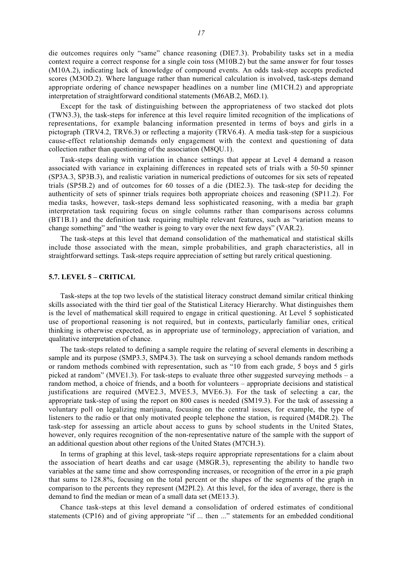die outcomes requires only "same" chance reasoning (DIE7.3). Probability tasks set in a media context require a correct response for a single coin toss (M10B.2) but the same answer for four tosses (M10A.2), indicating lack of knowledge of compound events. An odds task-step accepts predicted scores (M3OD.2). Where language rather than numerical calculation is involved, task-steps demand appropriate ordering of chance newspaper headlines on a number line (M1CH.2) and appropriate interpretation of straightforward conditional statements (M6AB.2, M6D.1).

Except for the task of distinguishing between the appropriateness of two stacked dot plots (TWN3.3), the task-steps for inference at this level require limited recognition of the implications of representations, for example balancing information presented in terms of boys and girls in a pictograph (TRV4.2, TRV6.3) or reflecting a majority (TRV6.4). A media task-step for a suspicious cause-effect relationship demands only engagement with the context and questioning of data collection rather than questioning of the association (M8QU.1).

Task-steps dealing with variation in chance settings that appear at Level 4 demand a reason associated with variance in explaining differences in repeated sets of trials with a 50-50 spinner (SP3A.3, SP3B.3), and realistic variation in numerical predictions of outcomes for six sets of repeated trials (SP5B.2) and of outcomes for 60 tosses of a die (DIE2.3). The task-step for deciding the authenticity of sets of spinner trials requires both appropriate choices and reasoning (SP11.2). For media tasks, however, task-steps demand less sophisticated reasoning, with a media bar graph interpretation task requiring focus on single columns rather than comparisons across columns (BT1B.1) and the definition task requiring multiple relevant features, such as "variation means to change something" and "the weather is going to vary over the next few days" (VAR.2).

The task-steps at this level that demand consolidation of the mathematical and statistical skills include those associated with the mean, simple probabilities, and graph characteristics, all in straightforward settings. Task-steps require appreciation of setting but rarely critical questioning.

### **5.7. LEVEL 5 – CRITICAL**

Task-steps at the top two levels of the statistical literacy construct demand similar critical thinking skills associated with the third tier goal of the Statistical Literacy Hierarchy. What distinguishes them is the level of mathematical skill required to engage in critical questioning. At Level 5 sophisticated use of proportional reasoning is not required, but in contexts, particularly familiar ones, critical thinking is otherwise expected, as in appropriate use of terminology, appreciation of variation, and qualitative interpretation of chance.

The task-steps related to defining a sample require the relating of several elements in describing a sample and its purpose (SMP3.3, SMP4.3). The task on surveying a school demands random methods or random methods combined with representation, such as "10 from each grade, 5 boys and 5 girls picked at random" (MVE1.3). For task-steps to evaluate three other suggested surveying methods – a random method, a choice of friends, and a booth for volunteers – appropriate decisions and statistical justifications are required (MVE2.3, MVE5.3, MVE6.3). For the task of selecting a car, the appropriate task-step of using the report on 800 cases is needed (SM19.3). For the task of assessing a voluntary poll on legalizing marijuana, focusing on the central issues, for example, the type of listeners to the radio or that only motivated people telephone the station, is required (M4DR.2). The task-step for assessing an article about access to guns by school students in the United States, however, only requires recognition of the non-representative nature of the sample with the support of an additional question about other regions of the United States (M7CH.3).

In terms of graphing at this level, task-steps require appropriate representations for a claim about the association of heart deaths and car usage (M8GR.3), representing the ability to handle two variables at the same time and show corresponding increases, or recognition of the error in a pie graph that sums to 128.8%, focusing on the total percent or the shapes of the segments of the graph in comparison to the percents they represent (M2PI.2). At this level, for the idea of average, there is the demand to find the median or mean of a small data set (ME13.3).

Chance task-steps at this level demand a consolidation of ordered estimates of conditional statements (CP16) and of giving appropriate "if ... then ..." statements for an embedded conditional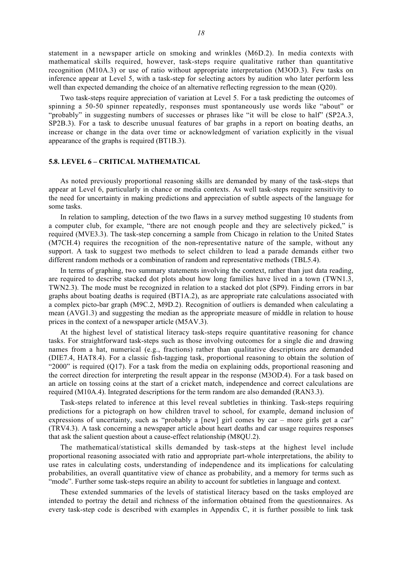statement in a newspaper article on smoking and wrinkles (M6D.2). In media contexts with mathematical skills required, however, task-steps require qualitative rather than quantitative recognition (M10A.3) or use of ratio without appropriate interpretation (M3OD.3). Few tasks on inference appear at Level 5, with a task-step for selecting actors by audition who later perform less well than expected demanding the choice of an alternative reflecting regression to the mean (O20).

Two task-steps require appreciation of variation at Level 5. For a task predicting the outcomes of spinning a 50-50 spinner repeatedly, responses must spontaneously use words like "about" or "probably" in suggesting numbers of successes or phrases like "it will be close to half" (SP2A.3, SP2B.3). For a task to describe unusual features of bar graphs in a report on boating deaths, an increase or change in the data over time or acknowledgment of variation explicitly in the visual appearance of the graphs is required (BT1B.3).

# **5.8. LEVEL 6 – CRITICAL MATHEMATICAL**

As noted previously proportional reasoning skills are demanded by many of the task-steps that appear at Level 6, particularly in chance or media contexts. As well task-steps require sensitivity to the need for uncertainty in making predictions and appreciation of subtle aspects of the language for some tasks.

In relation to sampling, detection of the two flaws in a survey method suggesting 10 students from a computer club, for example, "there are not enough people and they are selectively picked," is required (MVE3.3). The task-step concerning a sample from Chicago in relation to the United States (M7CH.4) requires the recognition of the non-representative nature of the sample, without any support. A task to suggest two methods to select children to lead a parade demands either two different random methods or a combination of random and representative methods (TBL5.4).

In terms of graphing, two summary statements involving the context, rather than just data reading, are required to describe stacked dot plots about how long families have lived in a town (TWN1.3, TWN2.3). The mode must be recognized in relation to a stacked dot plot (SP9). Finding errors in bar graphs about boating deaths is required (BT1A.2), as are appropriate rate calculations associated with a complex picto-bar graph (M9C.2, M9D.2). Recognition of outliers is demanded when calculating a mean (AVG1.3) and suggesting the median as the appropriate measure of middle in relation to house prices in the context of a newspaper article (M5AV.3).

At the highest level of statistical literacy task-steps require quantitative reasoning for chance tasks. For straightforward task-steps such as those involving outcomes for a single die and drawing names from a hat, numerical (e.g., fractions) rather than qualitative descriptions are demanded (DIE7.4, HAT8.4). For a classic fish-tagging task, proportional reasoning to obtain the solution of "2000" is required (Q17). For a task from the media on explaining odds, proportional reasoning and the correct direction for interpreting the result appear in the response (M3OD.4). For a task based on an article on tossing coins at the start of a cricket match, independence and correct calculations are required (M10A.4). Integrated descriptions for the term random are also demanded (RAN3.3).

Task-steps related to inference at this level reveal subtleties in thinking. Task-steps requiring predictions for a pictograph on how children travel to school, for example, demand inclusion of expressions of uncertainty, such as "probably a [new] girl comes by car – more girls get a car" (TRV4.3). A task concerning a newspaper article about heart deaths and car usage requires responses that ask the salient question about a cause-effect relationship (M8QU.2).

The mathematical/statistical skills demanded by task-steps at the highest level include proportional reasoning associated with ratio and appropriate part-whole interpretations, the ability to use rates in calculating costs, understanding of independence and its implications for calculating probabilities, an overall quantitative view of chance as probability, and a memory for terms such as "mode". Further some task-steps require an ability to account for subtleties in language and context.

These extended summaries of the levels of statistical literacy based on the tasks employed are intended to portray the detail and richness of the information obtained from the questionnaires. As every task-step code is described with examples in Appendix C, it is further possible to link task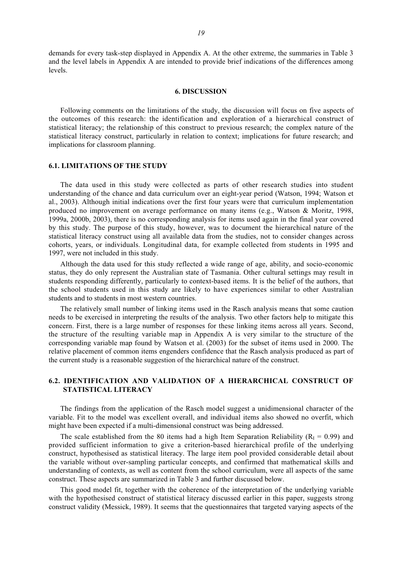demands for every task-step displayed in Appendix A. At the other extreme, the summaries in Table 3 and the level labels in Appendix A are intended to provide brief indications of the differences among levels.

#### **6. DISCUSSION**

Following comments on the limitations of the study, the discussion will focus on five aspects of the outcomes of this research: the identification and exploration of a hierarchical construct of statistical literacy; the relationship of this construct to previous research; the complex nature of the statistical literacy construct, particularly in relation to context; implications for future research; and implications for classroom planning.

# **6.1. LIMITATIONS OF THE STUDY**

The data used in this study were collected as parts of other research studies into student understanding of the chance and data curriculum over an eight-year period (Watson, 1994; Watson et al., 2003). Although initial indications over the first four years were that curriculum implementation produced no improvement on average performance on many items (e.g., Watson & Moritz, 1998, 1999a, 2000b, 2003), there is no corresponding analysis for items used again in the final year covered by this study. The purpose of this study, however, was to document the hierarchical nature of the statistical literacy construct using all available data from the studies, not to consider changes across cohorts, years, or individuals. Longitudinal data, for example collected from students in 1995 and 1997, were not included in this study.

Although the data used for this study reflected a wide range of age, ability, and socio-economic status, they do only represent the Australian state of Tasmania. Other cultural settings may result in students responding differently, particularly to context-based items. It is the belief of the authors, that the school students used in this study are likely to have experiences similar to other Australian students and to students in most western countries.

The relatively small number of linking items used in the Rasch analysis means that some caution needs to be exercised in interpreting the results of the analysis. Two other factors help to mitigate this concern. First, there is a large number of responses for these linking items across all years. Second, the structure of the resulting variable map in Appendix A is very similar to the structure of the corresponding variable map found by Watson et al. (2003) for the subset of items used in 2000. The relative placement of common items engenders confidence that the Rasch analysis produced as part of the current study is a reasonable suggestion of the hierarchical nature of the construct.

# **6.2. IDENTIFICATION AND VALIDATION OF A HIERARCHICAL CONSTRUCT OF STATISTICAL LITERACY**

The findings from the application of the Rasch model suggest a unidimensional character of the variable. Fit to the model was excellent overall, and individual items also showed no overfit, which might have been expected if a multi-dimensional construct was being addressed.

The scale established from the 80 items had a high Item Separation Reliability ( $R<sub>I</sub> = 0.99$ ) and provided sufficient information to give a criterion-based hierarchical profile of the underlying construct, hypothesised as statistical literacy. The large item pool provided considerable detail about the variable without over-sampling particular concepts, and confirmed that mathematical skills and understanding of contexts, as well as content from the school curriculum, were all aspects of the same construct. These aspects are summarized in Table 3 and further discussed below.

This good model fit, together with the coherence of the interpretation of the underlying variable with the hypothesised construct of statistical literacy discussed earlier in this paper, suggests strong construct validity (Messick, 1989). It seems that the questionnaires that targeted varying aspects of the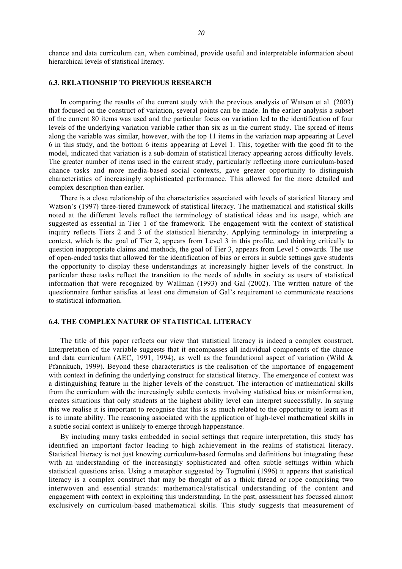# **6.3. RELATIONSHIP TO PREVIOUS RESEARCH**

In comparing the results of the current study with the previous analysis of Watson et al. (2003) that focused on the construct of variation, several points can be made. In the earlier analysis a subset of the current 80 items was used and the particular focus on variation led to the identification of four levels of the underlying variation variable rather than six as in the current study. The spread of items along the variable was similar, however, with the top 11 items in the variation map appearing at Level 6 in this study, and the bottom 6 items appearing at Level 1. This, together with the good fit to the model, indicated that variation is a sub-domain of statistical literacy appearing across difficulty levels. The greater number of items used in the current study, particularly reflecting more curriculum-based chance tasks and more media-based social contexts, gave greater opportunity to distinguish characteristics of increasingly sophisticated performance. This allowed for the more detailed and complex description than earlier.

There is a close relationship of the characteristics associated with levels of statistical literacy and Watson's (1997) three-tiered framework of statistical literacy. The mathematical and statistical skills noted at the different levels reflect the terminology of statistical ideas and its usage, which are suggested as essential in Tier 1 of the framework. The engagement with the context of statistical inquiry reflects Tiers 2 and 3 of the statistical hierarchy. Applying terminology in interpreting a context, which is the goal of Tier 2, appears from Level 3 in this profile, and thinking critically to question inappropriate claims and methods, the goal of Tier 3, appears from Level 5 onwards. The use of open-ended tasks that allowed for the identification of bias or errors in subtle settings gave students the opportunity to display these understandings at increasingly higher levels of the construct. In particular these tasks reflect the transition to the needs of adults in society as users of statistical information that were recognized by Wallman (1993) and Gal (2002). The written nature of the questionnaire further satisfies at least one dimension of Gal's requirement to communicate reactions to statistical information.

# **6.4. THE COMPLEX NATURE OF STATISTICAL LITERACY**

The title of this paper reflects our view that statistical literacy is indeed a complex construct. Interpretation of the variable suggests that it encompasses all individual components of the chance and data curriculum (AEC, 1991, 1994), as well as the foundational aspect of variation (Wild  $\&$ Pfannkuch, 1999). Beyond these characteristics is the realisation of the importance of engagement with context in defining the underlying construct for statistical literacy. The emergence of context was a distinguishing feature in the higher levels of the construct. The interaction of mathematical skills from the curriculum with the increasingly subtle contexts involving statistical bias or misinformation, creates situations that only students at the highest ability level can interpret successfully. In saying this we realise it is important to recognise that this is as much related to the opportunity to learn as it is to innate ability. The reasoning associated with the application of high-level mathematical skills in a subtle social context is unlikely to emerge through happenstance.

By including many tasks embedded in social settings that require interpretation, this study has identified an important factor leading to high achievement in the realms of statistical literacy. Statistical literacy is not just knowing curriculum-based formulas and definitions but integrating these with an understanding of the increasingly sophisticated and often subtle settings within which statistical questions arise. Using a metaphor suggested by Tognolini (1996) it appears that statistical literacy is a complex construct that may be thought of as a thick thread or rope comprising two interwoven and essential strands: mathematical/statistical understanding of the content and engagement with context in exploiting this understanding. In the past, assessment has focussed almost exclusively on curriculum-based mathematical skills. This study suggests that measurement of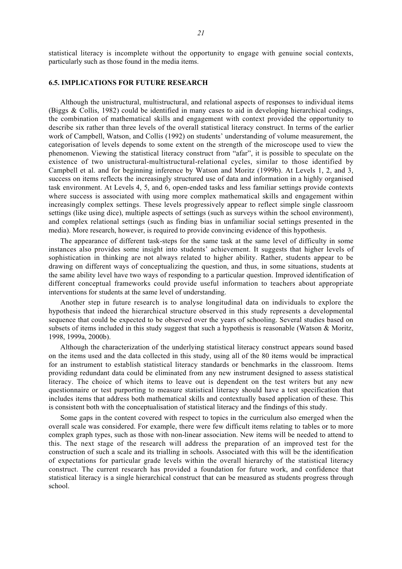statistical literacy is incomplete without the opportunity to engage with genuine social contexts, particularly such as those found in the media items.

### **6.5. IMPLICATIONS FOR FUTURE RESEARCH**

Although the unistructural, multistructural, and relational aspects of responses to individual items (Biggs & Collis, 1982) could be identified in many cases to aid in developing hierarchical codings, the combination of mathematical skills and engagement with context provided the opportunity to describe six rather than three levels of the overall statistical literacy construct. In terms of the earlier work of Campbell, Watson, and Collis (1992) on students' understanding of volume measurement, the categorisation of levels depends to some extent on the strength of the microscope used to view the phenomenon. Viewing the statistical literacy construct from "afar", it is possible to speculate on the existence of two unistructural-multistructural-relational cycles, similar to those identified by Campbell et al. and for beginning inference by Watson and Moritz (1999b). At Levels 1, 2, and 3, success on items reflects the increasingly structured use of data and information in a highly organised task environment. At Levels 4, 5, and 6, open-ended tasks and less familiar settings provide contexts where success is associated with using more complex mathematical skills and engagement within increasingly complex settings. These levels progressively appear to reflect simple single classroom settings (like using dice), multiple aspects of settings (such as surveys within the school environment), and complex relational settings (such as finding bias in unfamiliar social settings presented in the media). More research, however, is required to provide convincing evidence of this hypothesis.

The appearance of different task-steps for the same task at the same level of difficulty in some instances also provides some insight into students' achievement. It suggests that higher levels of sophistication in thinking are not always related to higher ability. Rather, students appear to be drawing on different ways of conceptualizing the question, and thus, in some situations, students at the same ability level have two ways of responding to a particular question. Improved identification of different conceptual frameworks could provide useful information to teachers about appropriate interventions for students at the same level of understanding.

Another step in future research is to analyse longitudinal data on individuals to explore the hypothesis that indeed the hierarchical structure observed in this study represents a developmental sequence that could be expected to be observed over the years of schooling. Several studies based on subsets of items included in this study suggest that such a hypothesis is reasonable (Watson & Moritz, 1998, 1999a, 2000b).

Although the characterization of the underlying statistical literacy construct appears sound based on the items used and the data collected in this study, using all of the 80 items would be impractical for an instrument to establish statistical literacy standards or benchmarks in the classroom. Items providing redundant data could be eliminated from any new instrument designed to assess statistical literacy. The choice of which items to leave out is dependent on the test writers but any new questionnaire or test purporting to measure statistical literacy should have a test specification that includes items that address both mathematical skills and contextually based application of these. This is consistent both with the conceptualisation of statistical literacy and the findings of this study.

Some gaps in the content covered with respect to topics in the curriculum also emerged when the overall scale was considered. For example, there were few difficult items relating to tables or to more complex graph types, such as those with non-linear association. New items will be needed to attend to this. The next stage of the research will address the preparation of an improved test for the construction of such a scale and its trialling in schools. Associated with this will be the identification of expectations for particular grade levels within the overall hierarchy of the statistical literacy construct. The current research has provided a foundation for future work, and confidence that statistical literacy is a single hierarchical construct that can be measured as students progress through school.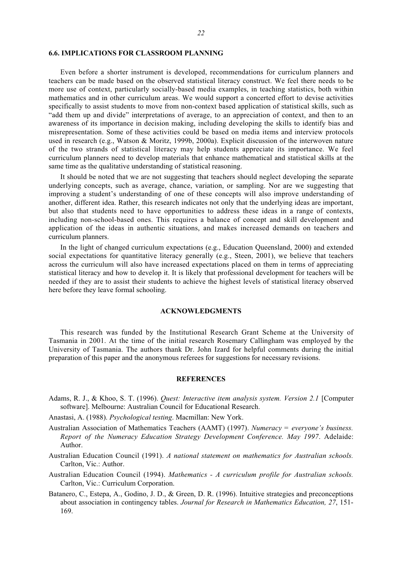### **6.6. IMPLICATIONS FOR CLASSROOM PLANNING**

Even before a shorter instrument is developed, recommendations for curriculum planners and teachers can be made based on the observed statistical literacy construct. We feel there needs to be more use of context, particularly socially-based media examples, in teaching statistics, both within mathematics and in other curriculum areas. We would support a concerted effort to devise activities specifically to assist students to move from non-context based application of statistical skills, such as "add them up and divide" interpretations of average, to an appreciation of context, and then to an awareness of its importance in decision making, including developing the skills to identify bias and misrepresentation. Some of these activities could be based on media items and interview protocols used in research (e.g., Watson & Moritz, 1999b, 2000a). Explicit discussion of the interwoven nature of the two strands of statistical literacy may help students appreciate its importance. We feel curriculum planners need to develop materials that enhance mathematical and statistical skills at the same time as the qualitative understanding of statistical reasoning.

It should be noted that we are not suggesting that teachers should neglect developing the separate underlying concepts, such as average, chance, variation, or sampling. Nor are we suggesting that improving a student's understanding of one of these concepts will also improve understanding of another, different idea. Rather, this research indicates not only that the underlying ideas are important, but also that students need to have opportunities to address these ideas in a range of contexts, including non-school-based ones. This requires a balance of concept and skill development and application of the ideas in authentic situations, and makes increased demands on teachers and curriculum planners.

In the light of changed curriculum expectations (e.g., Education Queensland, 2000) and extended social expectations for quantitative literacy generally (e.g., Steen, 2001), we believe that teachers across the curriculum will also have increased expectations placed on them in terms of appreciating statistical literacy and how to develop it. It is likely that professional development for teachers will be needed if they are to assist their students to achieve the highest levels of statistical literacy observed here before they leave formal schooling.

### **ACKNOWLEDGMENTS**

This research was funded by the Institutional Research Grant Scheme at the University of Tasmania in 2001. At the time of the initial research Rosemary Callingham was employed by the University of Tasmania. The authors thank Dr. John Izard for helpful comments during the initial preparation of this paper and the anonymous referees for suggestions for necessary revisions.

#### **REFERENCES**

- Adams, R. J., & Khoo, S. T. (1996). *Quest: Interactive item analysis system. Version 2.1* [Computer software]. Melbourne: Australian Council for Educational Research.
- Anastasi, A. (1988). *Psychological testing*. Macmillan: New York.
- Australian Association of Mathematics Teachers (AAMT) (1997). *Numeracy = everyone's business. Report of the Numeracy Education Strategy Development Conference. May 1997*. Adelaide: Author.
- Australian Education Council (1991). *A national statement on mathematics for Australian schools.* Carlton, Vic.: Author.
- Australian Education Council (1994). *Mathematics A curriculum profile for Australian schools.* Carlton, Vic.: Curriculum Corporation.
- Batanero, C., Estepa, A., Godino, J. D., & Green, D. R. (1996). Intuitive strategies and preconceptions about association in contingency tables. *Journal for Research in Mathematics Education, 27*, 151- 169.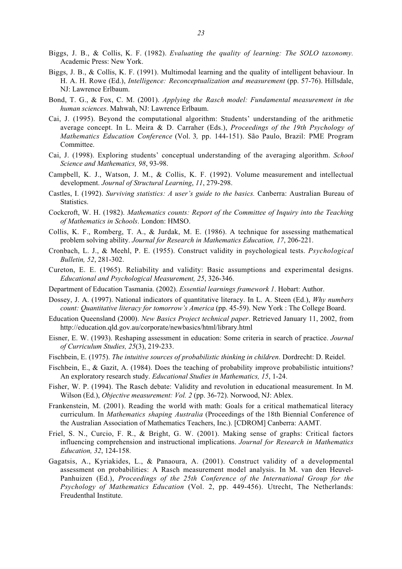- Biggs, J. B., & Collis, K. F. (1982). *Evaluating the quality of learning: The SOLO taxonomy.* Academic Press: New York.
- Biggs, J. B., & Collis, K. F. (1991). Multimodal learning and the quality of intelligent behaviour. In H. A. H. Rowe (Ed.), *Intelligence: Reconceptualization and measurement* (pp. 57-76). Hillsdale, NJ: Lawrence Erlbaum.
- Bond, T. G., & Fox, C. M. (2001). *Applying the Rasch model: Fundamental measurement in the human sciences*. Mahwah, NJ: Lawrence Erlbaum.
- Cai, J. (1995). Beyond the computational algorithm: Students' understanding of the arithmetic average concept. In L. Meira & D. Carraher (Eds.), *Proceedings of the 19th Psychology of Mathematics Education Conference* (Vol. 3*,* pp. 144-151). São Paulo, Brazil: PME Program Committee.
- Cai, J. (1998). Exploring students' conceptual understanding of the averaging algorithm. *School Science and Mathematics, 98*, 93-98.
- Campbell, K. J., Watson, J. M., & Collis, K. F. (1992). Volume measurement and intellectual development. *Journal of Structural Learning*, *11*, 279-298.
- Castles, I. (1992). *Surviving statistics: A user's guide to the basics.* Canberra: Australian Bureau of Statistics.
- Cockcroft, W. H. (1982). *Mathematics counts: Report of the Committee of Inquiry into the Teaching of Mathematics in Schools*. London: HMSO.
- Collis, K. F., Romberg, T. A., & Jurdak, M. E. (1986). A technique for assessing mathematical problem solving ability. *Journal for Research in Mathematics Education, 17*, 206-221.
- Cronbach, L. J., & Meehl, P. E. (1955). Construct validity in psychological tests. *Psychological Bulletin, 52*, 281-302.
- Cureton, E. E. (1965). Reliability and validity: Basic assumptions and experimental designs. *Educational and Psychological Measurement, 25*, 326-346.
- Department of Education Tasmania. (2002). *Essential learnings framework 1*. Hobart: Author.
- Dossey, J. A. (1997). National indicators of quantitative literacy. In L. A. Steen (Ed.), *Why numbers count: Quantitative literacy for tomorrow's America* (pp. 45-59). New York : The College Board.
- Education Queensland (2000). *New Basics Project technical paper*. Retrieved January 11, 2002, from http://education.qld.gov.au/corporate/newbasics/html/library.html
- Eisner, E. W. (1993). Reshaping assessment in education: Some criteria in search of practice. *Journal of Curriculum Studies, 25*(3), 219-233.
- Fischbein, E. (1975). *The intuitive sources of probabilistic thinking in children*. Dordrecht: D. Reidel.
- Fischbein, E., & Gazit, A. (1984). Does the teaching of probability improve probabilistic intuitions? An exploratory research study. *Educational Studies in Mathematics, 15*, 1-24.
- Fisher, W. P. (1994). The Rasch debate: Validity and revolution in educational measurement. In M. Wilson (Ed.), *Objective measurement: Vol. 2* (pp. 36-72). Norwood, NJ: Ablex.
- Frankenstein, M. (2001). Reading the world with math: Goals for a critical mathematical literacy curriculum. In *Mathematics shaping Australia* (Proceedings of the 18th Biennial Conference of the Australian Association of Mathematics Teachers, Inc.). [CDROM] Canberra: AAMT.
- Friel, S. N., Curcio, F. R., & Bright, G. W. (2001). Making sense of graphs: Critical factors influencing comprehension and instructional implications. *Journal for Research in Mathematics Education, 32*, 124-158.
- Gagatsis, A., Kyriakides, L., & Panaoura, A. (2001). Construct validity of a developmental assessment on probabilities: A Rasch measurement model analysis. In M. van den Heuvel-Panhuizen (Ed.), *Proceedings of the 25th Conference of the International Group for the Psychology of Mathematics Education* (Vol. 2, pp. 449-456). Utrecht, The Netherlands: Freudenthal Institute.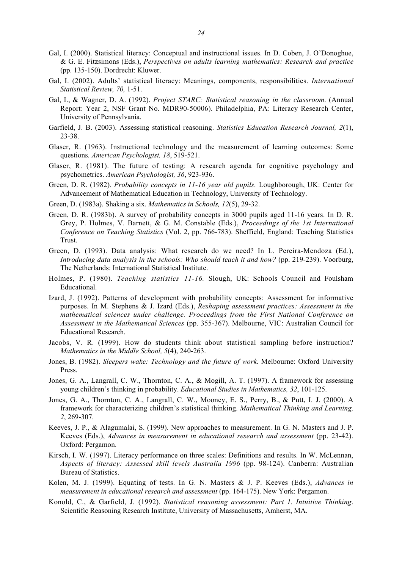- Gal, I. (2000). Statistical literacy: Conceptual and instructional issues. In D. Coben, J. O'Donoghue, & G. E. Fitzsimons (Eds.), *Perspectives on adults learning mathematics: Research and practice* (pp. 135-150). Dordrecht: Kluwer.
- Gal, I. (2002). Adults' statistical literacy: Meanings, components, responsibilities. *International Statistical Review, 70,* 1-51.
- Gal, I., & Wagner, D. A. (1992). *Project STARC: Statistical reasoning in the classroom*. (Annual Report: Year 2, NSF Grant No. MDR90-50006). Philadelphia, PA: Literacy Research Center, University of Pennsylvania.
- Garfield, J. B. (2003). Assessing statistical reasoning. *Statistics Education Research Journal, 2*(1), 23-38.
- Glaser, R. (1963). Instructional technology and the measurement of learning outcomes: Some questions. *American Psychologist, 18*, 519-521.
- Glaser, R. (1981). The future of testing: A research agenda for cognitive psychology and psychometrics. *American Psychologist, 36*, 923-936.
- Green, D. R. (1982). *Probability concepts in 11-16 year old pupils*. Loughborough, UK: Center for Advancement of Mathematical Education in Technology, University of Technology.
- Green, D. (1983a). Shaking a six. *Mathematics in Schools, 12*(5), 29-32.
- Green, D. R. (1983b). A survey of probability concepts in 3000 pupils aged 11-16 years. In D. R. Grey, P. Holmes, V. Barnett, & G. M. Constable (Eds.), *Proceedings of the 1st International Conference on Teaching Statistics* (Vol. 2, pp. 766-783). Sheffield, England: Teaching Statistics Trust.
- Green, D. (1993). Data analysis: What research do we need? In L. Pereira-Mendoza (Ed.), *Introducing data analysis in the schools: Who should teach it and how?* (pp. 219-239). Voorburg, The Netherlands: International Statistical Institute.
- Holmes, P. (1980). *Teaching statistics 11-16.* Slough, UK: Schools Council and Foulsham Educational.
- Izard, J. (1992). Patterns of development with probability concepts: Assessment for informative purposes. In M. Stephens & J. Izard (Eds.), *Reshaping assessment practices: Assessment in the mathematical sciences under challenge. Proceedings from the First National Conference on Assessment in the Mathematical Sciences* (pp. 355-367). Melbourne, VIC: Australian Council for Educational Research.
- Jacobs, V. R. (1999). How do students think about statistical sampling before instruction? *Mathematics in the Middle School, 5*(4), 240-263.
- Jones, B. (1982). *Sleepers wake: Technology and the future of work.* Melbourne: Oxford University Press.
- Jones, G. A., Langrall, C. W., Thornton, C. A., & Mogill, A. T. (1997). A framework for assessing young children's thinking in probability. *Educational Studies in Mathematics, 32*, 101-125.
- Jones, G. A., Thornton, C. A., Langrall, C. W., Mooney, E. S., Perry, B., & Putt, I. J. (2000). A framework for characterizing children's statistical thinking. *Mathematical Thinking and Learning, 2*, 269-307.
- Keeves, J. P., & Alagumalai, S. (1999). New approaches to measurement. In G. N. Masters and J. P. Keeves (Eds.), *Advances in measurement in educational research and assessment* (pp. 23-42). Oxford: Pergamon.
- Kirsch, I. W. (1997). Literacy performance on three scales: Definitions and results. In W. McLennan, *Aspects of literacy: Assessed skill levels Australia 1996* (pp. 98-124). Canberra: Australian Bureau of Statistics.
- Kolen, M. J. (1999). Equating of tests. In G. N. Masters & J. P. Keeves (Eds.), *Advances in measurement in educational research and assessment* (pp. 164-175). New York: Pergamon.
- Konold, C., & Garfield, J. (1992). *Statistical reasoning assessment: Part 1. Intuitive Thinking*. Scientific Reasoning Research Institute, University of Massachusetts, Amherst, MA.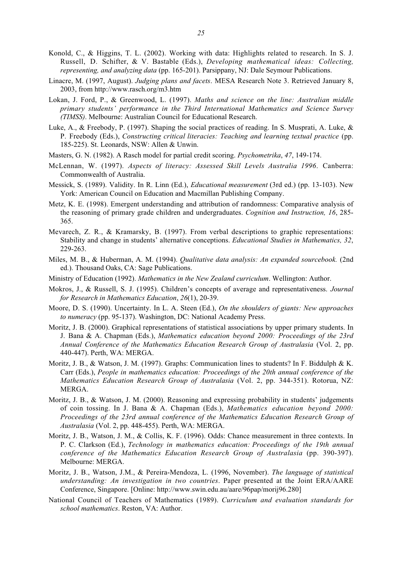- Konold, C., & Higgins, T. L. (2002). Working with data: Highlights related to research. In S. J. Russell, D. Schifter, & V. Bastable (Eds.), *Developing mathematical ideas: Collecting, representing, and analyzing data* (pp. 165-201). Parsippany, NJ: Dale Seymour Publications.
- Linacre, M. (1997, August). *Judging plans and facets*. MESA Research Note 3. Retrieved January 8, 2003, from http://www.rasch.org/m3.htm
- Lokan, J. Ford, P., & Greenwood, L. (1997). *Maths and science on the line: Australian middle primary students' performance in the Third International Mathematics and Science Survey (TIMSS)*. Melbourne: Australian Council for Educational Research.
- Luke, A., & Freebody, P. (1997). Shaping the social practices of reading. In S. Musprati, A. Luke, & P. Freebody (Eds.), *Constructing critical literacies: Teaching and learning textual practice* (pp. 185-225). St. Leonards, NSW: Allen & Unwin.
- Masters, G. N. (1982). A Rasch model for partial credit scoring. *Psychometrika*, *47*, 149-174.
- McLennan, W. (1997). *Aspects of literacy: Assessed Skill Levels Australia 1996*. Canberra: Commonwealth of Australia.
- Messick, S. (1989). Validity. In R. Linn (Ed.), *Educational measurement* (3rd ed.) (pp. 13-103). New York: American Council on Education and Macmillan Publishing Company.
- Metz, K. E. (1998). Emergent understanding and attribution of randomness: Comparative analysis of the reasoning of primary grade children and undergraduates. *Cognition and Instruction, 16*, 285- 365.
- Mevarech, Z. R., & Kramarsky, B. (1997). From verbal descriptions to graphic representations: Stability and change in students' alternative conceptions. *Educational Studies in Mathematics, 32*, 229-263.
- Miles, M. B., & Huberman, A. M. (1994). *Qualitative data analysis: An expanded sourcebook.* (2nd ed.). Thousand Oaks, CA: Sage Publications.
- Ministry of Education (1992). *Mathematics in the New Zealand curriculum*. Wellington: Author.
- Mokros, J., & Russell, S. J. (1995). Children's concepts of average and representativeness. *Journal for Research in Mathematics Education*, *26*(1), 20-39.
- Moore, D. S. (1990). Uncertainty. In L. A. Steen (Ed.), *On the shoulders of giants: New approaches to numeracy* (pp. 95-137). Washington, DC: National Academy Press.
- Moritz, J. B. (2000). Graphical representations of statistical associations by upper primary students. In J. Bana & A. Chapman (Eds.), *Mathematics education beyond 2000: Proceedings of the 23rd Annual Conference of the Mathematics Education Research Group of Australasia* (Vol. 2, pp. 440-447). Perth, WA: MERGA.
- Moritz, J. B., & Watson, J. M. (1997). Graphs: Communication lines to students? In F. Biddulph & K. Carr (Eds.), *People in mathematics education: Proceedings of the 20th annual conference of the Mathematics Education Research Group of Australasia* (Vol. 2, pp. 344-351). Rotorua, NZ: MERGA.
- Moritz, J. B., & Watson, J. M. (2000). Reasoning and expressing probability in students' judgements of coin tossing. In J. Bana & A. Chapman (Eds.), *Mathematics education beyond 2000: Proceedings of the 23rd annual conference of the Mathematics Education Research Group of Australasia* (Vol. 2, pp. 448-455). Perth, WA: MERGA.
- Moritz, J. B., Watson, J. M., & Collis, K. F. (1996). Odds: Chance measurement in three contexts. In P. C. Clarkson (Ed.), *Technology in mathematics education: Proceedings of the 19th annual conference of the Mathematics Education Research Group of Australasia* (pp. 390-397). Melbourne: MERGA.
- Moritz, J. B., Watson, J.M., & Pereira-Mendoza, L. (1996, November). *The language of statistical understanding: An investigation in two countries*. Paper presented at the Joint ERA/AARE Conference, Singapore. [Online: http://www.swin.edu.au/aare/96pap/morij96.280]
- National Council of Teachers of Mathematics (1989). *Curriculum and evaluation standards for school mathematics*. Reston, VA: Author.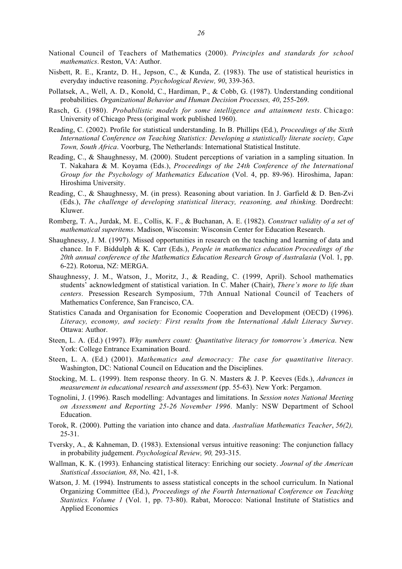- Nisbett, R. E., Krantz, D. H., Jepson, C., & Kunda, Z. (1983). The use of statistical heuristics in everyday inductive reasoning. *Psychological Review, 90*, 339-363.
- Pollatsek, A., Well, A. D., Konold, C., Hardiman, P., & Cobb, G. (1987). Understanding conditional probabilities. *Organizational Behavior and Human Decision Processes, 40*, 255-269.
- Rasch, G. (1980). *Probabilistic models for some intelligence and attainment tests*. Chicago: University of Chicago Press (original work published 1960).
- Reading, C. (2002). Profile for statistical understanding. In B. Phillips (Ed.), *Proceedings of the Sixth International Conference on Teaching Statistics: Developing a statistically literate society, Cape Town, South Africa*. Voorburg, The Netherlands: International Statistical Institute.
- Reading, C., & Shaughnessy, M. (2000). Student perceptions of variation in a sampling situation. In T. Nakahara & M. Koyama (Eds.), *Proceedings of the 24th Conference of the International Group for the Psychology of Mathematics Education* (Vol. 4, pp. 89-96). Hiroshima, Japan: Hiroshima University.
- Reading, C., & Shaughnessy, M. (in press). Reasoning about variation. In J. Garfield & D. Ben-Zvi (Eds.), *The challenge of developing statistical literacy, reasoning, and thinking.* Dordrecht: Kluwer.
- Romberg, T. A., Jurdak, M. E., Collis, K. F., & Buchanan, A. E. (1982). *Construct validity of a set of mathematical superitems*. Madison, Wisconsin: Wisconsin Center for Education Research.
- Shaughnessy, J. M. (1997). Missed opportunities in research on the teaching and learning of data and chance. In F. Biddulph & K. Carr (Eds.), *People in mathematics education Proceedings of the 20th annual conference of the Mathematics Education Research Group of Australasia* (Vol. 1, pp. 6-22). Rotorua, NZ: MERGA.
- Shaughnessy, J. M., Watson, J., Moritz, J., & Reading, C. (1999, April). School mathematics students' acknowledgment of statistical variation. In C. Maher (Chair), *There's more to life than centers*. Presession Research Symposium, 77th Annual National Council of Teachers of Mathematics Conference, San Francisco, CA.
- Statistics Canada and Organisation for Economic Cooperation and Development (OECD) (1996). *Literacy, economy, and society: First results from the International Adult Literacy Survey*. Ottawa: Author.
- Steen, L. A. (Ed.) (1997). *Why numbers count: Quantitative literacy for tomorrow's America*. New York: College Entrance Examination Board.
- Steen, L. A. (Ed.) (2001). *Mathematics and democracy: The case for quantitative literacy.* Washington, DC: National Council on Education and the Disciplines.
- Stocking, M. L. (1999). Item response theory. In G. N. Masters & J. P. Keeves (Eds.), *Advances in measurement in educational research and assessment* (pp. 55-63). New York: Pergamon.
- Tognolini, J. (1996). Rasch modelling: Advantages and limitations. In *Session notes National Meeting on Assessment and Reporting 25-26 November 1996*. Manly: NSW Department of School Education.
- Torok, R. (2000). Putting the variation into chance and data. *Australian Mathematics Teacher*, *56(2),* 25-31.
- Tversky, A., & Kahneman, D. (1983). Extensional versus intuitive reasoning: The conjunction fallacy in probability judgement. *Psychological Review, 90,* 293-315.
- Wallman, K. K. (1993). Enhancing statistical literacy: Enriching our society. *Journal of the American Statistical Association, 88*, No. 421, 1-8.
- Watson, J. M. (1994). Instruments to assess statistical concepts in the school curriculum. In National Organizing Committee (Ed.), *Proceedings of the Fourth International Conference on Teaching Statistics. Volume 1* (Vol. 1, pp. 73-80). Rabat, Morocco: National Institute of Statistics and Applied Economics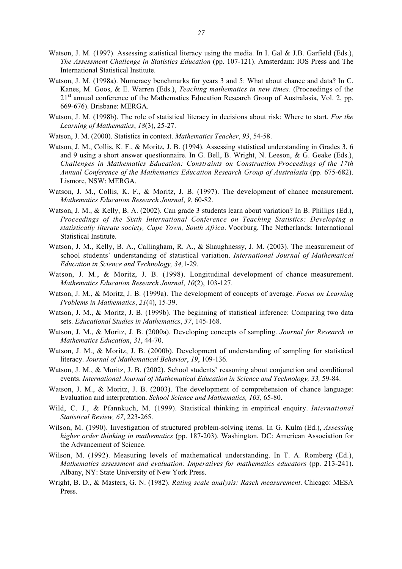- Watson, J. M. (1997). Assessing statistical literacy using the media. In I. Gal & J.B. Garfield (Eds.), *The Assessment Challenge in Statistics Education* (pp. 107-121). Amsterdam: IOS Press and The International Statistical Institute.
- Watson, J. M. (1998a). Numeracy benchmarks for years 3 and 5: What about chance and data? In C. Kanes, M. Goos, & E. Warren (Eds.), *Teaching mathematics in new times.* (Proceedings of the 21<sup>st</sup> annual conference of the Mathematics Education Research Group of Australasia, Vol. 2, pp. 669-676). Brisbane: MERGA.
- Watson, J. M. (1998b). The role of statistical literacy in decisions about risk: Where to start. *For the Learning of Mathematics*, *18*(3), 25-27.
- Watson, J. M. (2000). Statistics in context. *Mathematics Teacher*, *93*, 54-58.
- Watson, J. M., Collis, K. F., & Moritz, J. B. (1994). Assessing statistical understanding in Grades 3, 6 and 9 using a short answer questionnaire. In G. Bell, B. Wright, N. Leeson, & G. Geake (Eds.), *Challenges in Mathematics Education: Constraints on Construction Proceedings of the 17th Annual Conference of the Mathematics Education Research Group of Australasia* (pp. 675-682). Lismore, NSW: MERGA.
- Watson, J. M., Collis, K. F., & Moritz, J. B. (1997). The development of chance measurement. *Mathematics Education Research Journal*, *9*, 60-82.
- Watson, J. M., & Kelly, B. A. (2002). Can grade 3 students learn about variation? In B. Phillips (Ed.), *Proceedings of the Sixth International Conference on Teaching Statistics: Developing a statistically literate society, Cape Town, South Africa*. Voorburg, The Netherlands: International Statistical Institute.
- Watson, J. M., Kelly, B. A., Callingham, R. A., & Shaughnessy, J. M. (2003). The measurement of school students' understanding of statistical variation. *International Journal of Mathematical Education in Science and Technology, 34,*1-29.
- Watson, J. M., & Moritz, J. B. (1998). Longitudinal development of chance measurement. *Mathematics Education Research Journal*, *10*(2), 103-127.
- Watson, J. M., & Moritz, J. B. (1999a). The development of concepts of average. *Focus on Learning Problems in Mathematics*, *21*(4), 15-39.
- Watson, J. M., & Moritz, J. B. (1999b). The beginning of statistical inference: Comparing two data sets. *Educational Studies in Mathematics*, *37*, 145-168.
- Watson, J. M., & Moritz, J. B. (2000a). Developing concepts of sampling. *Journal for Research in Mathematics Education*, *31*, 44-70.
- Watson, J. M., & Moritz, J. B. (2000b). Development of understanding of sampling for statistical literacy. *Journal of Mathematical Behavior*, *19*, 109-136.
- Watson, J. M., & Moritz, J. B. (2002). School students' reasoning about conjunction and conditional events. *International Journal of Mathematical Education in Science and Technology, 33,* 59-84.
- Watson, J. M., & Moritz, J. B. (2003). The development of comprehension of chance language: Evaluation and interpretation. *School Science and Mathematics, 103*, 65-80.
- Wild, C. J., & Pfannkuch, M. (1999). Statistical thinking in empirical enquiry. *International Statistical Review, 67*, 223-265.
- Wilson, M. (1990). Investigation of structured problem-solving items. In G. Kulm (Ed.), *Assessing higher order thinking in mathematics* (pp. 187-203). Washington, DC: American Association for the Advancement of Science.
- Wilson, M. (1992). Measuring levels of mathematical understanding. In T. A. Romberg (Ed.), *Mathematics assessment and evaluation: Imperatives for mathematics educators* (pp. 213-241). Albany, NY: State University of New York Press.
- Wright, B. D., & Masters, G. N. (1982). *Rating scale analysis: Rasch measurement*. Chicago: MESA Press.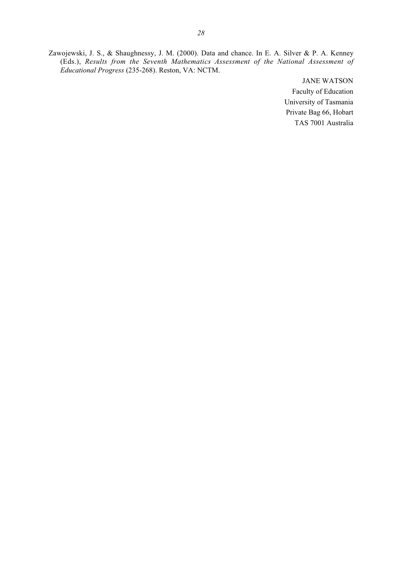Zawojewski, J. S., & Shaughnessy, J. M. (2000). Data and chance. In E. A. Silver & P. A. Kenney (Eds.), *Results from the Seventh Mathematics Assessment of the National Assessment of Educational Progress* (235-268). Reston, VA: NCTM.

> JANE WATSON Faculty of Education University of Tasmania Private Bag 66, Hobart TAS 7001 Australia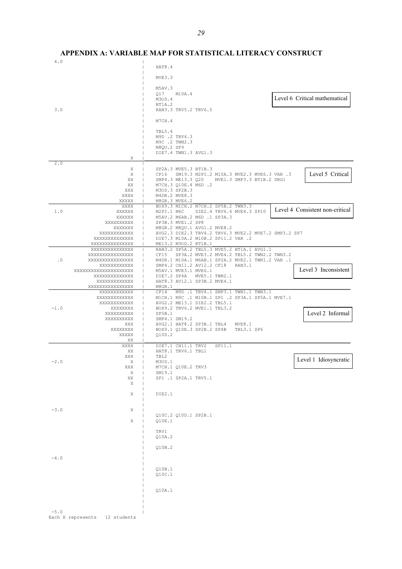4.0 | | HAT8.4 | MVE3.3 | | M5AV.3 | Q17 M10A.4 | M3OD.4 | BT1A.2<br>| BT1A.2<br>| RAN3.3 3.0 | RAN3.3 TRV5.2 TRV6.5 | | M7CH.4 | | TBL5.4 | M9D .2 TRV4.3 | M9C .2 TWN2.3 | M8QU.2 SP9 | DIE7.4 TWN1.3 AVG1.3  $X \parallel$  $2.0$ X | SP2A.3 MVE5.3 BT1B.3<br>X | CP16 SM19.3 M2PI.2 X | CP16 SM19.3 M2PI.2 M10A.3 MVE2.3 MVE6.3 VAR .3 XX | SMP4.3 ME13.3 Q20 MVE1.3 SMP3.3 BT1B.2 DRG1 XX | M7CH.3 Q10E.4 M6D .2 XXX | M3OD.3 SP2B.3<br>XXXX | M3OD.3 SP2B.3 XXXX | M4DR.2 MVE8.3<br>XXXXX | M4DR.2 MVE8.3 XXXXX | M8GR.3 MVE6.2<br>XXXX | BOX9.3 M1CH.2 XXXX | BOX9.3 M1CH.2 M7CH.2 SP5B.2 TWN3.3<br>1.0 XXXXXX | M2PI.1 M6C DIE2.4 TRV6.4 MVE4.3 XXXXXX | M2PI.1 M6C DIE2.4 TRV6.4 MVE4.3 SP10<br>XXXXXX | M5AV.2 M6AB.2 M6D .1 SP3A.3 XXXXXX | M5AV.2 M6AB.2 M6D .1 SP3A.3<br>XXXXXXXXX | SP3B.3 MVE1.2 SP8 XXXXXXXXXX | SP3B.3 MVE1.2 SP8 XXXXXXX | M8GR.2 M8QU.1 AVG1.2 MVE8.2 XXXXXXXXXXXX | AVG2.3 DIE2.3 TRV4.2 TRV6.3 MVE2.2 MVE7.2 SMP3.2 SP7 XXXXXXXXXXXXXX | DIE7.3 M10A.2 M10B.2 SP11.2 VAR .2 ME13.2 M3OD.2 BT1B.1 XXXXXXXXXXXXXXX | RAN3.2 SP5A.2 TBL5.3 MVE5.2 BT1A.1 AVG1.1 XXXXXXXXXXXXXXXX | CF15 SP3A.2 MVE3.2 MVE4.2 TBL5.2 TWN2.2 TWN3.2 .0 XXXXXXXXXXXXXXXX | M4DR.1 M10A.1 M6AB.1 SP2A.2 MVE2.1 TWN1.2 VAR .1 XXXXXXXXXXXX | SMP4.2 CH11.2 AV12.2 CF18 RAN3.1 XXXXXXXXXXXXXXXXXXXXX | M5AV.1 MVE3.1 MVE6.1 XXXXXXXXXXXXXX | DIE7.2 SP4A MVE5.1 TWN2.1 XXXXXXXXXXXXX | HAT8.3 AV12.1 SP3B.2 MVE4.1 XXXXXXXXXXXXXXXX | M8GR.1\_\_\_\_\_\_\_\_\_\_\_\_\_\_\_\_\_\_\_\_\_\_\_\_\_\_\_\_\_\_\_\_\_\_\_\_\_\_\_\_\_\_\_\_\_\_\_\_\_\_\_\_\_\_\_\_\_\_\_\_\_\_\_ XXXXXXXXXXXX | CP14 M9D .1 TRV4.1 SMP3.1 TWN1.1 TWN3.1 XXXXXXXXXXXXX | M1CH.1 M9C .1 M10B.1 SP1 .2 SP3A.1 SP5A.1 MVE7.1 XXXXXXXXXXXX | AVG2.2 ME13.1 DIE2.2 TBL5.1 -1.0 XXXXXXXX | BOX9.2 TRV6.2 MVE1.1 TBL3.2 XXXXXXXXXX | SP5B.1 XXXX | SMP4.1 SM19.2<br>XXX | AVG2.1 HAT8.2 XXX | AVG2.1 HAT8.2 SP3B.1 TBL4 MVE8.1<br>XXXXXXXX | BOX9.1 O10E.3 SP2B.2 SP4B TBL3.1 SP6 BOX9.1 Q10E.3 SP2B.2 SP4B  $xxxx$  $\chi_{\rm X}$  and  $\chi_{\rm X}$  and  $\chi_{\rm X}$  and  $\chi_{\rm X}$  are the set of  $\chi_{\rm X}$  and  $\chi_{\rm X}$  are the set of  $\chi_{\rm X}$  and  $\chi_{\rm X}$  are the set of  $\chi_{\rm X}$  and  $\chi_{\rm X}$  are the set of  $\chi_{\rm X}$  and  $\chi_{\rm X}$  are the set o XXXX | DIE7.1 CH11.1 TRV2 SP11.1<br>XX | HAT8.1 TRV6.1 TBL1 XX | HAT8.1 TRV6.1 TBL1<br>XXX | HAT8.1 TRV6.1 TBL1 XXX | TBL2 -2.0 X | M3OD.1 XXX | M7CH.1 Q10E.2 TRV3 X | SM19.1 XX | SP1 .1 SP2A.1 TRV5.1  $X = \begin{bmatrix} 1 & 1 \\ 1 & 1 \end{bmatrix}$  | X | DIE2.1 | |  $-3.0$  X | Q10C.2 Q10D.1 SP2B.1<br>| C10F 1  $010E.1$  | | TRV1 | Q10A.2 | | Q10B.2 |  $-4.0$  | | Q10B.1  $010C.1$  | | | Q10A.1 | | |  $-5.0$ Level 6 Critical mathematical Level 5 Critical Level 4 Consistent non-critical Level 3 Inconsistent Level 2 Informal Level 1 Idiosyncratic

Each X represents 12 students

**APPENDIX A: VARIABLE MAP FOR STATISTICAL LITERACY CONSTRUCT**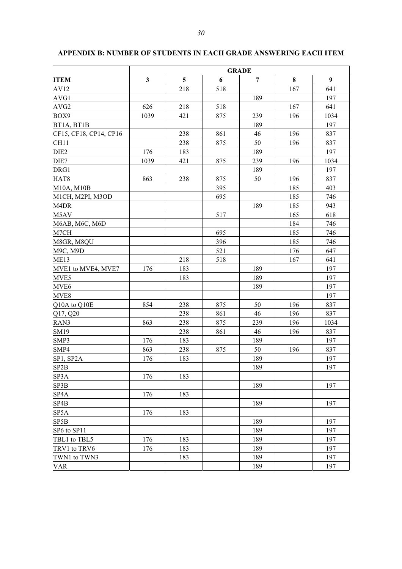|                        | <b>GRADE</b> |     |     |                |          |                  |
|------------------------|--------------|-----|-----|----------------|----------|------------------|
| <b>ITEM</b>            | $\mathbf{3}$ | 5   | 6   | $\overline{7}$ | $\bf{8}$ | $\boldsymbol{9}$ |
| AV12                   |              | 218 | 518 |                | 167      | 641              |
| AVG1                   |              |     |     | 189            |          | 197              |
| AVG2                   | 626          | 218 | 518 |                | 167      | 641              |
| BOX9                   | 1039         | 421 | 875 | 239            | 196      | 1034             |
| BT1A, BT1B             |              |     |     | 189            |          | 197              |
| CF15, CF18, CP14, CP16 |              | 238 | 861 | 46             | 196      | 837              |
| CH11                   |              | 238 | 875 | 50             | 196      | 837              |
| DIE <sub>2</sub>       | 176          | 183 |     | 189            |          | 197              |
| DIE7                   | 1039         | 421 | 875 | 239            | 196      | 1034             |
| DRG1                   |              |     |     | 189            |          | 197              |
| HAT <sub>8</sub>       | 863          | 238 | 875 | 50             | 196      | 837              |
| M10A, M10B             |              |     | 395 |                | 185      | 403              |
| M1CH, M2PI, M3OD       |              |     | 695 |                | 185      | 746              |
| M <sub>4</sub> DR      |              |     |     | 189            | 185      | 943              |
| M <sub>5</sub> AV      |              |     | 517 |                | 165      | 618              |
| M6AB, M6C, M6D         |              |     |     |                | 184      | 746              |
| M7CH                   |              |     | 695 |                | 185      | 746              |
| M8GR, M8QU             |              |     | 396 |                | 185      | 746              |
| M9C, M9D               |              |     | 521 |                | 176      | 647              |
| <b>ME13</b>            |              | 218 | 518 |                | 167      | 641              |
| MVE1 to MVE4, MVE7     | 176          | 183 |     | 189            |          | 197              |
| MVE5                   |              | 183 |     | 189            |          | 197              |
| MVE <sub>6</sub>       |              |     |     | 189            |          | 197              |
| MVE8                   |              |     |     |                |          | 197              |
| Q10A to Q10E           | 854          | 238 | 875 | 50             | 196      | 837              |
| Q17, Q20               |              | 238 | 861 | 46             | 196      | 837              |
| RAN3                   | 863          | 238 | 875 | 239            | 196      | 1034             |
| SM19                   |              | 238 | 861 | 46             | 196      | 837              |
| SMP3                   | 176          | 183 |     | 189            |          | 197              |
| SMP4                   | 863          | 238 | 875 | 50             | 196      | 837              |
| SP1, SP2A              | 176          | 183 |     | 189            |          | 197              |
| SP <sub>2</sub> B      |              |     |     | 189            |          | 197              |
| SP3A                   | 176          | 183 |     |                |          |                  |
| SP3B                   |              |     |     | 189            |          | 197              |
| SP4A                   | 176          | 183 |     |                |          |                  |
| SP <sub>4</sub> B      |              |     |     | 189            |          | 197              |
| SP5A                   | 176          | 183 |     |                |          |                  |
| SP <sub>5</sub> B      |              |     |     | 189            |          | 197              |
| SP6 to SP11            |              |     |     | 189            |          | 197              |
| TBL1 to TBL5           | 176          | 183 |     | 189            |          | 197              |
| TRV1 to TRV6           | 176          | 183 |     | 189            |          | 197              |
| TWN1 to TWN3           |              | 183 |     | 189            |          | 197              |
| <b>VAR</b>             |              |     |     | 189            |          | 197              |

# **APPENDIX B: NUMBER OF STUDENTS IN EACH GRADE ANSWERING EACH ITEM**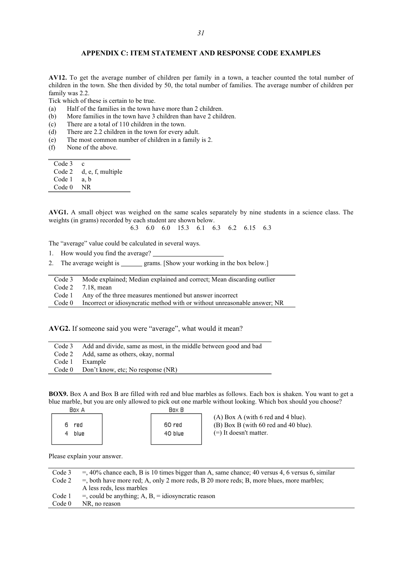#### **APPENDIX C: ITEM STATEMENT AND RESPONSE CODE EXAMPLES**

**AV12.** To get the average number of children per family in a town, a teacher counted the total number of children in the town. She then divided by 50, the total number of families. The average number of children per family was 2.2.

Tick which of these is certain to be true.

- (a) Half of the families in the town have more than 2 children.
- (b) More families in the town have 3 children than have 2 children.
- (c) There are a total of 110 children in the town.
- (d) There are 2.2 children in the town for every adult.
- (e) The most common number of children in a family is 2.
- (f) None of the above.

Code 3 c Code 2 d, e, f, multiple Code 1 a, b Code 0 NR

**AVG1.** A small object was weighed on the same scales separately by nine students in a science class. The weights (in grams) recorded by each student are shown below.

6.3 6.0 6.0 15.3 6.1 6.3 6.2 6.15 6.3

The "average" value could be calculated in several ways.

- 1. How would you find the average?
- 2. The average weight is grams. [Show your working in the box below.]

| Code 3 | Mode explained; Median explained and correct; Mean discarding outlier     |
|--------|---------------------------------------------------------------------------|
|        | Code $2$ 7.18, mean                                                       |
| Code 1 | Any of the three measures mentioned but answer incorrect                  |
| Code 0 | Incorrect or idiosyncratic method with or without unreasonable answer; NR |

**AVG2.** If someone said you were "average", what would it mean?

|        | Code 3 Add and divide, same as most, in the middle between good and bad |
|--------|-------------------------------------------------------------------------|
|        | Code 2 Add, same as others, okay, normal                                |
|        | Code 1 Example                                                          |
| Code 0 | Don't know, etc; No response (NR)                                       |
|        |                                                                         |

**BOX9.** Box A and Box B are filled with red and blue marbles as follows. Each box is shaken. You want to get a blue marble, but you are only allowed to pick out one marble without looking. Which box should you choose?

| HOX A             | нох н             |                                                                                                          |
|-------------------|-------------------|----------------------------------------------------------------------------------------------------------|
| red<br>6.<br>blue | 60 red<br>40 blue | $(A)$ Box A (with 6 red and 4 blue).<br>(B) Box B (with 60 red and 40 blue).<br>$(=)$ It doesn't matter. |

Please explain your answer.

| Code 3            | $=$ , 40% chance each, B is 10 times bigger than A, same chance; 40 versus 4, 6 versus 6, similar |
|-------------------|---------------------------------------------------------------------------------------------------|
| Code 2            | $=$ , both have more red; A, only 2 more reds, B 20 more reds; B, more blues, more marbles;       |
|                   | A less reds, less marbles                                                                         |
| Code 1            | $=$ , could be anything; A, B, $=$ idiosyncratic reason                                           |
| Code <sub>0</sub> | NR, no reason                                                                                     |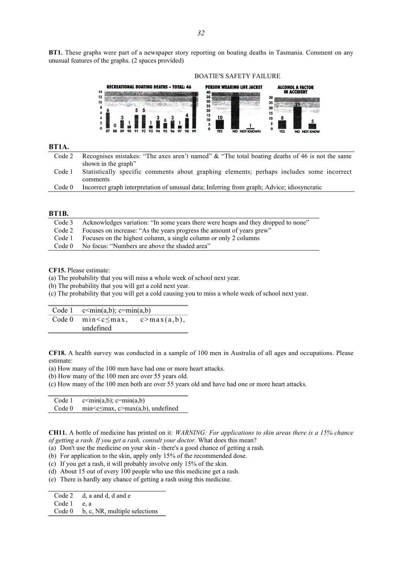**BT1.** These graphs were part of a newspaper story reporting on boating deaths in Tasmania. Comment on any unusual features of the graphs. (2 spaces provided)



### **BT1A.**

| Code 2 Recognises mistakes: "The axes aren't named" & "The total boating deaths of 46 is not the same |  |
|-------------------------------------------------------------------------------------------------------|--|
| shown in the graph"                                                                                   |  |

Code 1 Statistically specific comments about graphing elements; perhaps includes some incorrect comments

| Code 0 Incorrect graph interpretation of unusual data; Inferring from graph; Advice; idiosyncratic |  |  |
|----------------------------------------------------------------------------------------------------|--|--|
|                                                                                                    |  |  |

#### **BT1B.**

| Code 2 Focuses on increase: "As the years progress the amount of years grew" | Code 3 Acknowledges variation: "In some years there were heaps and they dropped to none" |
|------------------------------------------------------------------------------|------------------------------------------------------------------------------------------|
|                                                                              |                                                                                          |
|                                                                              | Code 1 Focuses on the highest column, a single column or only 2 columns                  |
| No focus: "Numbers are above the shaded area"<br>Code 0                      |                                                                                          |

**CF15.** Please estimate:

(a) The probability that you will miss a whole week of school next year.

(b) The probability that you will get a cold next year.

(c) The probability that you will get a cold causing you to miss a whole week of school next year.

| Code 1 $c \le min(a,b)$ ; $c = min(a,b)$                           |  |
|--------------------------------------------------------------------|--|
| Code 0 $\text{min} < c \leq \text{max}$ , $c > \text{max}(a, b)$ , |  |
| undefined                                                          |  |

**CF18.** A health survey was conducted in a sample of 100 men in Australia of all ages and occupations. Please estimate:

(a) How many of the 100 men have had one or more heart attacks.

(b) How many of the 100 men are over 55 years old.

(c) How many of the 100 men both are over 55 years old and have had one or more heart attacks.

| Code 1 | $c \le min(a,b); c = min(a,b)$                                                 |
|--------|--------------------------------------------------------------------------------|
| Code 0 | $\text{min} \leq \text{max}, \text{c} \geq \text{max}(a, b), \text{undefined}$ |

**CH11.** A bottle of medicine has printed on it*: WARNING: For applications to skin areas there is a 15% chance of getting a rash. If you get a rash, consult your doctor.* What does this mean?

(a) Don't use the medicine on your skin - there's a good chance of getting a rash.

(b) For application to the skin, apply only 15% of the recommended dose.

(c) If you get a rash, it will probably involve only 15% of the skin.

(d) About 15 out of every 100 people who use this medicine get a rash.

(e) There is hardly any chance of getting a rash using this medicine.

Code 2 d, a and d, d and e

Code 1 e, a

Code 0 b, c, NR, multiple selections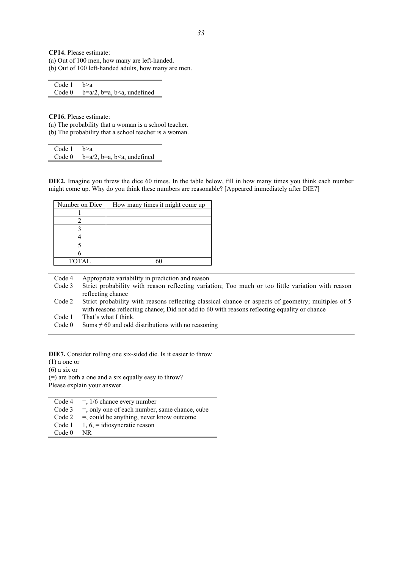**CP14.** Please estimate: (a) Out of 100 men, how many are left-handed. (b) Out of 100 left-handed adults, how many are men.

| Code $1$ b>a |                                        |
|--------------|----------------------------------------|
|              | Code $0 \quad b=a/2, b=a, b undefined$ |

**CP16.** Please estimate:

(a) The probability that a woman is a school teacher. (b) The probability that a school teacher is a woman.

Code 1 b>a Code 0  $b=a/2$ ,  $b=a$ ,  $b, undefined$ 

**DIE2.** Imagine you threw the dice 60 times. In the table below, fill in how many times you think each number might come up. Why do you think these numbers are reasonable? [Appeared immediately after DIE7]

| Number on Dice | How many times it might come up |
|----------------|---------------------------------|
|                |                                 |
|                |                                 |
|                |                                 |
|                |                                 |
|                |                                 |
|                |                                 |
| <b>TOTAL</b>   | ٢ι                              |

Code 4 Appropriate variability in prediction and reason Code 3 Strict probability with reason reflecting variation; Too much or too little variation with reason reflecting chance Code 2 Strict probability with reasons reflecting classical chance or aspects of geometry; multiples of 5 with reasons reflecting chance; Did not add to 60 with reasons reflecting equality or chance Code 1 That's what I think. Code 0 Sums  $\neq$  60 and odd distributions with no reasoning

**DIE7.** Consider rolling one six-sided die. Is it easier to throw

(1) a one or

(6) a six or

(=) are both a one and a six equally easy to throw? Please explain your answer.

| Code 4 | $=$ , 1/6 chance every number                    |
|--------|--------------------------------------------------|
| Code 3 | $=$ , only one of each number, same chance, cube |
| Code 2 | $=$ , could be anything, never know outcome      |
| Code 1 | $1, 6, =$ idiosyncratic reason                   |
| Code 0 | NR.                                              |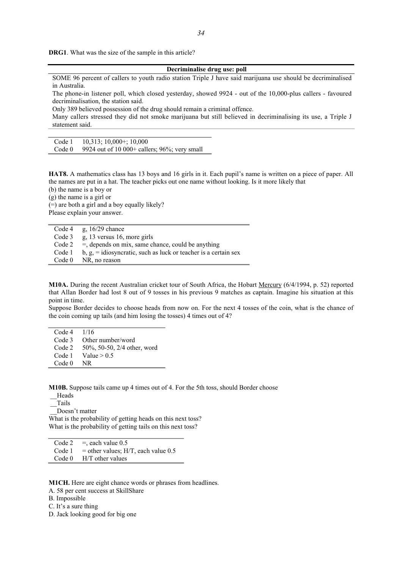**DRG1**. What was the size of the sample in this article?

#### **Decriminalise drug use: poll**

SOME 96 percent of callers to youth radio station Triple J have said marijuana use should be decriminalised in Australia.

The phone-in listener poll, which closed yesterday, showed 9924 - out of the 10,000-plus callers - favoured decriminalisation, the station said.

Only 389 believed possession of the drug should remain a criminal offence.

Many callers stressed they did not smoke marijuana but still believed in decriminalising its use, a Triple J statement said.

Code 1 10,313; 10,000+; 10,000

Code  $0$  9924 out of 10 000+ callers; 96%; very small

**HAT8.** A mathematics class has 13 boys and 16 girls in it. Each pupil's name is written on a piece of paper. All the names are put in a hat. The teacher picks out one name without looking. Is it more likely that

(b) the name is a boy or

(g) the name is a girl or

(=) are both a girl and a boy equally likely? Please explain your answer.

Code 4  $g$ , 16/29 chance Code 3 g, 13 versus 16, more girls Code 2 =, depends on mix, same chance, could be anything Code 1 b,  $g_1$  = idiosyncratic, such as luck or teacher is a certain sex Code 0 NR, no reason

**M10A.** During the recent Australian cricket tour of South Africa, the Hobart Mercury (6/4/1994, p. 52) reported that Allan Border had lost 8 out of 9 tosses in his previous 9 matches as captain. Imagine his situation at this point in time.

Suppose Border decides to choose heads from now on. For the next 4 tosses of the coin, what is the chance of the coin coming up tails (and him losing the tosses) 4 times out of 4?

Code 4 1/16 Code 3 Other number/word Code 2 50%, 50-50, 2/4 other, word Code 1 Value  $> 0.5$ Code 0 NR

**M10B.** Suppose tails came up 4 times out of 4. For the 5th toss, should Border choose

 \_\_Heads .<br>Tails \_\_Doesn't matter What is the probability of getting heads on this next toss? What is the probability of getting tails on this next toss?

Code  $2 \overline{ }$  =, each value 0.5

Code  $1 =$  other values; H/T, each value 0.5

Code 0 H/T other values

**M1CH.** Here are eight chance words or phrases from headlines.

A. 58 per cent success at SkillShare

B. Impossible

C. It's a sure thing

D. Jack looking good for big one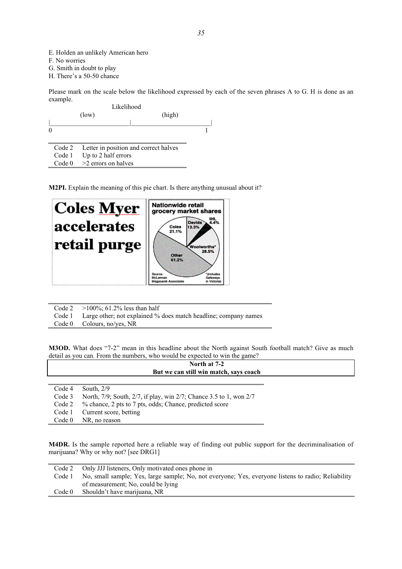E. Holden an unlikely American hero

F. No worries

G. Smith in doubt to play

H. There's a 50-50 chance

Please mark on the scale below the likelihood expressed by each of the seven phrases A to G. H is done as an example. Likelihood

|          | Likelinood<br>(high)<br>(low)                |  |
|----------|----------------------------------------------|--|
| $\theta$ |                                              |  |
|          | Code 2 Letter in position and correct halves |  |
|          | Code 1 Up to 2 half errors                   |  |
|          | Code $0 \geq 2$ errors on halves             |  |

**M2PI.** Explain the meaning of this pie chart. Is there anything unusual about it?



Code 2  $>100\%$ ; 61.2% less than half<br>Code 1 Large other; not explained %

Large other; not explained % does match headline; company names

Code 0 Colours, no/yes, NR

**M3OD.** What does "7-2" mean in this headline about the North against South football match? Give as much detail as you can. From the numbers, who would be expected to win the game?

|                   | North at 7-2                                                       |  |
|-------------------|--------------------------------------------------------------------|--|
|                   | But we can still win match, says coach                             |  |
|                   |                                                                    |  |
| Code 4            | South, $2/9$                                                       |  |
| Code 3            | North, 7/9; South, 2/7, if play, win 2/7; Chance 3.5 to 1, won 2/7 |  |
| Code 2            | % chance, 2 pts to 7 pts, odds; Chance, predicted score            |  |
| Code 1            | Current score, betting                                             |  |
| Code <sub>0</sub> | NR, no reason                                                      |  |

**M4DR.** Is the sample reported here a reliable way of finding out public support for the decriminalisation of marijuana? Why or why not? [see DRG1]

| Code 2 | Only JJJ listeners, Only motivated ones phone in                                                   |
|--------|----------------------------------------------------------------------------------------------------|
| Code 1 | No, small sample; Yes, large sample; No, not everyone; Yes, everyone listens to radio; Reliability |
|        | of measurement: No, could be lying                                                                 |
| Code 0 | Shouldn't have marijuana, NR                                                                       |
|        |                                                                                                    |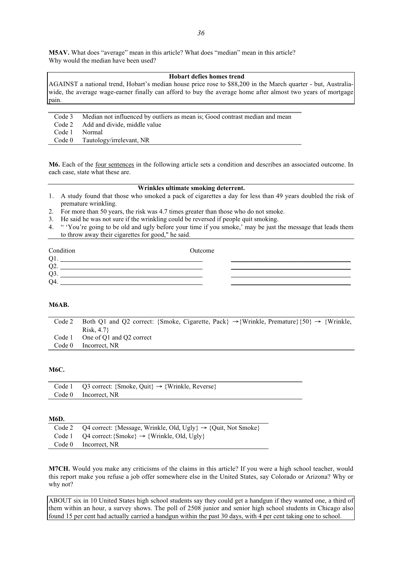**M5AV.** What does "average" mean in this article? What does "median" mean in this article? Why would the median have been used?

#### **Hobart defies homes trend**

AGAINST a national trend, Hobart's median house price rose to \$88,200 in the March quarter - but, Australiawide, the average wage-earner finally can afford to buy the average home after almost two years of mortgage pain.

| Code 3        | Median not influenced by outliers as mean is: Good contrast median and mean |
|---------------|-----------------------------------------------------------------------------|
|               | Code 2 Add and divide, middle value                                         |
| Code 1 Normal |                                                                             |
|               | Code 0 Tautology/irrelevant, NR                                             |

**M6.** Each of the four sentences in the following article sets a condition and describes an associated outcome. In each case, state what these are.

### **Wrinkles ultimate smoking deterrent.**

- 1. A study found that those who smoked a pack of cigarettes a day for less than 49 years doubled the risk of premature wrinkling.
- 2. For more than 50 years, the risk was 4.7 times greater than those who do not smoke.
- 3. He said he was not sure if the wrinkling could be reversed if people quit smoking.
- 4. " 'You're going to be old and ugly before your time if you smoke,' may be just the message that leads them to throw away their cigarettes for good," he said.

| Condition      | Outcome |  |
|----------------|---------|--|
| O              |         |  |
| O <sub>2</sub> |         |  |
| O <sub>3</sub> |         |  |
| O <sub>4</sub> |         |  |

#### **M6AB.**

| Code 2 | Both Q1 and Q2 correct: {Smoke, Cigarette, Pack} $\rightarrow$ {Wrinkle, Premature} {50} $\rightarrow$ {Wrinkle, |
|--------|------------------------------------------------------------------------------------------------------------------|
|        | Risk, 4.7                                                                                                        |
|        | Code 1 One of O1 and O2 correct                                                                                  |
| Code 0 | Incorrect. NR                                                                                                    |

#### **M6C.**

| Code 1 Q3 correct: {Smoke, Quit} $\rightarrow$ {Wrinkle, Reverse} |
|-------------------------------------------------------------------|
| Code 0 Incorrect, NR                                              |

#### **M6D.**

| Code 2 Q4 correct: {Message, Wrinkle, Old, Ugly} $\rightarrow$ {Quit, Not Smoke} |
|----------------------------------------------------------------------------------|
| Code 1 $Q4$ correct: {Smoke} $\rightarrow$ {Wrinkle, Old, Ugly}                  |
| Code 0 Incorrect, NR                                                             |

**M7CH.** Would you make any criticisms of the claims in this article? If you were a high school teacher, would this report make you refuse a job offer somewhere else in the United States, say Colorado or Arizona? Why or why not?

ABOUT six in 10 United States high school students say they could get a handgun if they wanted one, a third of them within an hour, a survey shows. The poll of 2508 junior and senior high school students in Chicago also found 15 per cent had actually carried a handgun within the past 30 days, with 4 per cent taking one to school.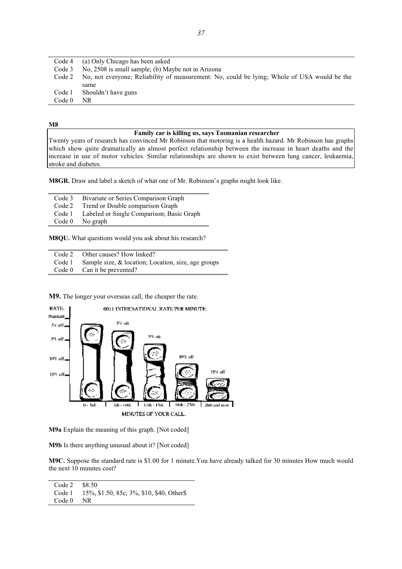|        | Code 4 (a) Only Chicago has been asked                                                      |
|--------|---------------------------------------------------------------------------------------------|
| Code 3 | No, 2508 is small sample; (b) Maybe not in Arizona                                          |
| Code 2 | No, not everyone; Reliability of measurement: No, could be lying; Whole of USA would be the |
|        | same                                                                                        |
| Code 1 | Shouldn't have guns                                                                         |
| Code 0 | NR.                                                                                         |

#### **M8**

#### **Family car is killing us, says Tasmanian researcher**

Twenty years of research has convinced Mr Robinson that motoring is a health hazard. Mr Robinson has graphs which show quite dramatically an almost perfect relationship between the increase in heart deaths and the increase in use of motor vehicles. Similar relationships are shown to exist between lung cancer, leukaemia, stroke and diabetes.

**M8GR.** Draw and label a sketch of what one of Mr. Robinson's graphs might look like.

Code 3 Bivariate or Series Comparison Graph<br>Code 2 Trend or Double comparison Graph Trend or Double comparison Graph Code 1 Labeled or Single Comparison; Basic Graph<br>Code 0 No graph No graph

**M8QU.** What questions would you ask about his research?

| Code 2 Other causes? How linked?                              |
|---------------------------------------------------------------|
| Code 1 Sample size, $\&$ location; Location, size, age groups |
| Code $0$ Can it be prevented?                                 |

**M9.** The longer your overseas call, the cheaper the rate.



**M9a** Explain the meaning of this graph. [Not coded]

**M9b** Is there anything unusual about it? [Not coded]

**M9C.** Suppose the standard rate is \$1.00 for 1 minute.You have already talked for 30 minutes How much would the next 10 minutes cost?

| Code 2            | \$8.50                                      |
|-------------------|---------------------------------------------|
| Code 1            | 15\%, \$1.50, 85c; 3\%, \$10, \$40, Other\$ |
| Code <sub>0</sub> | NR.                                         |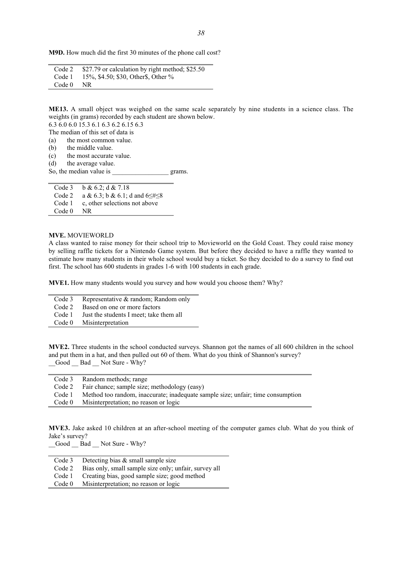**M9D.** How much did the first 30 minutes of the phone call cost?

| Code 2 | \$27.79 or calculation by right method; \$25.50    |
|--------|----------------------------------------------------|
|        | Code 1 $15\%$ , \$4.50; \$30, Other \$, Other $\%$ |
| Code 0 | NR.                                                |

**ME13.** A small object was weighed on the same scale separately by nine students in a science class. The weights (in grams) recorded by each student are shown below.

6.3 6.0 6.0 15.3 6.1 6.3 6.2 6.15 6.3

The median of this set of data is

(a) the most common value.

(b) the middle value.

(c) the most accurate value.

(d) the average value.

So, the median value is grams.

Code 3 b & 6.2; d & 7.18<br>Code 2 a & 6.3; b & 6.1; d a & 6.3; b & 6.1; d and  $6 \leq \neq 8$ Code 1 c, other selections not above Code 0 NR

**MVE.** MOVIEWORLD

A class wanted to raise money for their school trip to Movieworld on the Gold Coast. They could raise money by selling raffle tickets for a Nintendo Game system. But before they decided to have a raffle they wanted to estimate how many students in their whole school would buy a ticket. So they decided to do a survey to find out first. The school has 600 students in grades 1-6 with 100 students in each grade.

**MVE1.** How many students would you survey and how would you choose them? Why?

| Code 3 | Representative & random; Random only    |
|--------|-----------------------------------------|
| Code 2 | Based on one or more factors            |
| Code 1 | Just the students I meet; take them all |
| Code 0 | Misinterpretation                       |

**MVE2.** Three students in the school conducted surveys. Shannon got the names of all 600 children in the school and put them in a hat, and then pulled out 60 of them. What do you think of Shannon's survey? Good Bad Not Sure - Why?

|        | Code 3 Random methods; range                                                    |
|--------|---------------------------------------------------------------------------------|
| Code 2 | Fair chance; sample size; methodology (easy)                                    |
| Code 1 | Method too random, inaccurate; inadequate sample size; unfair; time consumption |
| Code 0 | Misinterpretation; no reason or logic                                           |

**MVE3.** Jake asked 10 children at an after-school meeting of the computer games club. What do you think of Jake's survey?

Good Bad Not Sure - Why?

|        | Code 3 Detecting bias $&$ small sample size           |
|--------|-------------------------------------------------------|
| Code 2 | Bias only, small sample size only; unfair, survey all |
| Code 1 | Creating bias, good sample size; good method          |
| Code 0 | Misinterpretation; no reason or logic                 |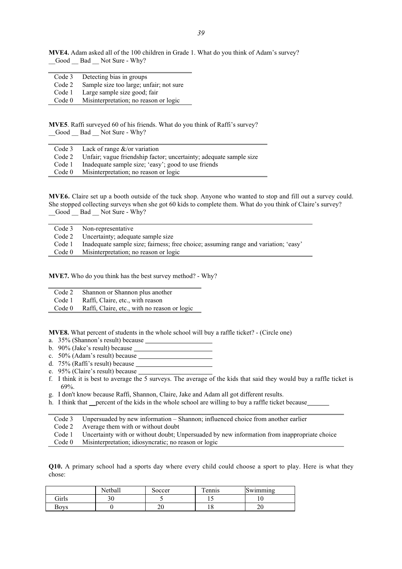**MVE4.** Adam asked all of the 100 children in Grade 1. What do you think of Adam's survey? \_\_Good \_\_ Bad \_\_ Not Sure - Why?

| Code 3            | Detecting bias in groups                |
|-------------------|-----------------------------------------|
| Code 2            | Sample size too large; unfair; not sure |
| Code 1            | Large sample size good; fair            |
| Code <sub>0</sub> | Misinterpretation; no reason or logic   |

**MVE5**. Raffi surveyed 60 of his friends. What do you think of Raffi's survey? Good Bad Not Sure - Why?

|                   | Code 3 Lack of range $\&$ /or variation                                   |
|-------------------|---------------------------------------------------------------------------|
|                   | Code 2 Unfair; vague friendship factor; uncertainty; adequate sample size |
| Code 1            | Inadequate sample size; 'easy'; good to use friends                       |
| Code <sub>0</sub> | Misinterpretation; no reason or logic                                     |

**MVE6.** Claire set up a booth outside of the tuck shop. Anyone who wanted to stop and fill out a survey could. She stopped collecting surveys when she got 60 kids to complete them. What do you think of Claire's survey? \_\_Good \_\_ Bad \_\_ Not Sure - Why?

| Uncertainty; adequate sample size<br>Code 2                                                   |  |
|-----------------------------------------------------------------------------------------------|--|
|                                                                                               |  |
| Inadequate sample size; fairness; free choice; assuming range and variation; 'easy'<br>Code 1 |  |
| Misinterpretation; no reason or logic<br>Code 0                                               |  |

**MVE7.** Who do you think has the best survey method? - Why?

| Code 2 |  | Shannon or Shannon plus another |  |
|--------|--|---------------------------------|--|
|--------|--|---------------------------------|--|

Code 1 Raffi, Claire, etc., with reason<br>Code 0 Raffi, Claire, etc., with no reas

Raffi, Claire, etc., with no reason or logic

**MVE8.** What percent of students in the whole school will buy a raffle ticket? - (Circle one)

- a. 35% (Shannon's result) because
- b. 90% (Jake's result) because

c. 50% (Adam's result) because

- d. 75% (Raffi's result) because
- e. 95% (Claire's result) because
- f. I think it is best to average the 5 surveys. The average of the kids that said they would buy a raffle ticket is 69%.
- g. I don't know because Raffi, Shannon, Claire, Jake and Adam all got different results.
- h. I think that percent of the kids in the whole school are willing to buy a raffle ticket because
- Code 3 Unpersuaded by new information Shannon; influenced choice from another earlier Code 2 Average them with or without doubt Code 1 Uncertainty with or without doubt; Unpersuaded by new information from inappropriate choice Code 0 Misinterpretation; idiosyncratic; no reason or logic

**Q10.** A primary school had a sports day where every child could choose a sport to play. Here is what they chose:

|       | Netball | Soccer | m<br>ennis | Swimming |
|-------|---------|--------|------------|----------|
| Girls |         |        |            | . .      |
| Boys  |         | ∠∪     | 10         | ົ<br>∠∪  |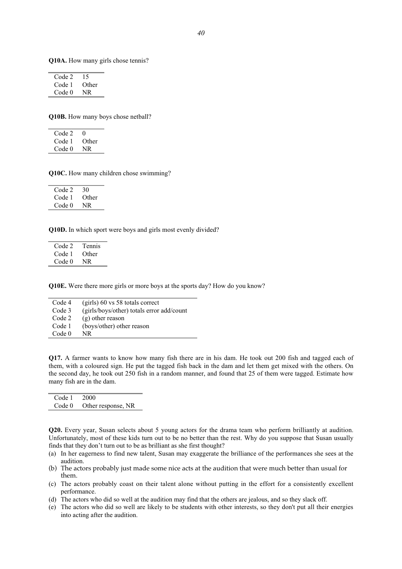**Q10A.** How many girls chose tennis?

| Code 2 | $\overline{1}$ |
|--------|----------------|
| Code 1 | Other          |
| Code 0 | NR             |

**Q10B.** How many boys chose netball?

 $Code 2 \quad 0$ Code 1 Other Code 0 NR

**Q10C.** How many children chose swimming?

| Code 2 | 30    |
|--------|-------|
| Code 1 | Other |
| Code 0 | NR    |

**Q10D.** In which sport were boys and girls most evenly divided?

| Code 2 | Tennis |
|--------|--------|
| Code 1 | Other  |
| Code 0 | NR     |

**Q10E.** Were there more girls or more boys at the sports day? How do you know?

| Code 4            | $(girls)$ 60 vs 58 totals correct         |
|-------------------|-------------------------------------------|
| Code 3            | (girls/boys/other) totals error add/count |
| Code 2            | $(g)$ other reason                        |
| Code 1            | (boys/other) other reason                 |
| Code <sub>0</sub> | NR.                                       |

**Q17.** A farmer wants to know how many fish there are in his dam. He took out 200 fish and tagged each of them, with a coloured sign. He put the tagged fish back in the dam and let them get mixed with the others. On the second day, he took out 250 fish in a random manner, and found that 25 of them were tagged. Estimate how many fish are in the dam.

| Code 1 2000 |                           |
|-------------|---------------------------|
|             | Code 0 Other response, NR |

**Q20.** Every year, Susan selects about 5 young actors for the drama team who perform brilliantly at audition. Unfortunately, most of these kids turn out to be no better than the rest. Why do you suppose that Susan usually finds that they don't turn out to be as brilliant as she first thought?

- (a) In her eagerness to find new talent, Susan may exaggerate the brilliance of the performances she sees at the audition.
- (b) The actors probably just made some nice acts at the audition that were much better than usual for them.
- (c) The actors probably coast on their talent alone without putting in the effort for a consistently excellent performance.
- (d) The actors who did so well at the audition may find that the others are jealous, and so they slack off.
- (e) The actors who did so well are likely to be students with other interests, so they don't put all their energies into acting after the audition.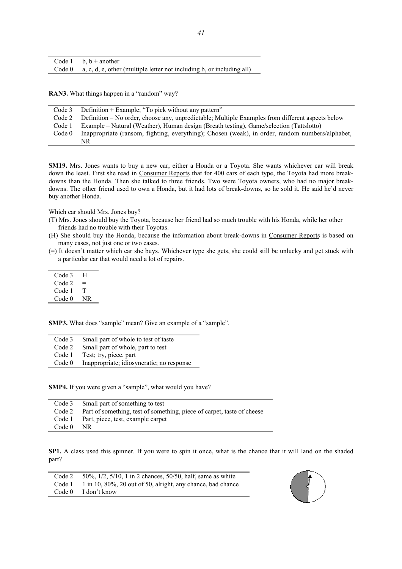| Code 1 b. $b +$ another                                                        |
|--------------------------------------------------------------------------------|
| Code $0$ a, c, d, e, other (multiple letter not including b, or including all) |

**RAN3.** What things happen in a "random" way?

| Code 3 | Definition + Example; "To pick without any pattern"                                              |
|--------|--------------------------------------------------------------------------------------------------|
| Code 2 | Definition – No order, choose any, unpredictable; Multiple Examples from different aspects below |
| Code 1 | Example – Natural (Weather), Human design (Breath testing), Game/selection (Tattslotto)          |
| Code 0 | Inappropriate (ransom, fighting, everything); Chosen (weak), in order, random numbers/alphabet,  |
|        | NR.                                                                                              |

**SM19.** Mrs. Jones wants to buy a new car, either a Honda or a Toyota. She wants whichever car will break down the least. First she read in Consumer Reports that for 400 cars of each type, the Toyota had more breakdowns than the Honda. Then she talked to three friends. Two were Toyota owners, who had no major breakdowns. The other friend used to own a Honda, but it had lots of break-downs, so he sold it. He said he'd never buy another Honda.

Which car should Mrs. Jones buy?

- (T) Mrs. Jones should buy the Toyota, because her friend had so much trouble with his Honda, while her other friends had no trouble with their Toyotas.
- (H) She should buy the Honda, because the information about break-downs in Consumer Reports is based on many cases, not just one or two cases.
- (=) It doesn't matter which car she buys. Whichever type she gets, she could still be unlucky and get stuck with a particular car that would need a lot of repairs.

| Code 3 | н   |
|--------|-----|
| Code 2 |     |
| Code 1 | T   |
| Code 0 | NR. |

L.

**SMP3.** What does "sample" mean? Give an example of a "sample".

Code 3 Small part of whole to test of taste Code 2 Small part of whole, part to test Code 1 Test; try, piece, part Code 0 Inappropriate; idiosyncratic; no response

**SMP4.** If you were given a "sample", what would you have?

|                   | Code 3 Small part of something to test                                        |
|-------------------|-------------------------------------------------------------------------------|
|                   | Code 2 Part of something, test of something, piece of carpet, taste of cheese |
|                   | Code 1 Part, piece, test, example carpet                                      |
| Code <sub>0</sub> | NR.                                                                           |

**SP1.** A class used this spinner. If you were to spin it once, what is the chance that it will land on the shaded part?

| Code 2 | $50\%$ , $1/2$ , $5/10$ , 1 in 2 chances, $50/50$ , half, same as white |
|--------|-------------------------------------------------------------------------|
| Code 1 | 1 in 10, 80%, 20 out of 50, alright, any chance, bad chance             |
|        | Code 0 I don't know                                                     |

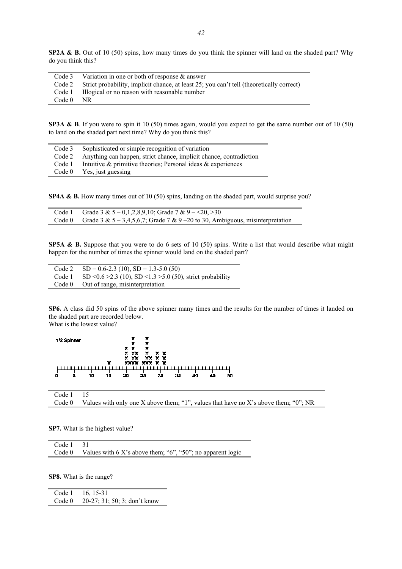**SP2A & B.** Out of 10 (50) spins, how many times do you think the spinner will land on the shaded part? Why do you think this?

|             | Code 3 Variation in one or both of response $\&$ answer                                         |
|-------------|-------------------------------------------------------------------------------------------------|
|             | Code 2 Strict probability, implicit chance, at least 25; you can't tell (theoretically correct) |
|             | Code 1 Illogical or no reason with reasonable number                                            |
| $Code 0$ NR |                                                                                                 |

**SP3A & B.** If you were to spin it 10 (50) times again, would you expect to get the same number out of 10 (50) to land on the shaded part next time? Why do you think this?

| Code 3 | Sophisticated or simple recognition of variation                   |
|--------|--------------------------------------------------------------------|
| Code 2 | Anything can happen, strict chance, implicit chance, contradiction |
| Code 1 | Intuitive $\&$ primitive theories; Personal ideas $\&$ experiences |
| Code 0 | Yes, just guessing                                                 |

**SP4A & B.** How many times out of 10 (50) spins, landing on the shaded part, would surprise you?

| Code 1 Grade 3 & $5 - 0,1,2,8,9,10$ ; Grade 7 & $9 - 20, >30$                           |
|-----------------------------------------------------------------------------------------|
| Code 0 Grade 3 & $5 - 3,4,5,6,7$ ; Grade 7 & 9 - 20 to 30, Ambiguous, misinterpretation |

**SP5A & B.** Suppose that you were to do 6 sets of 10 (50) spins. Write a list that would describe what might happen for the number of times the spinner would land on the shaded part?

|        | Code 2 $SD = 0.6-2.3(10)$ , $SD = 1.3-5.0(50)$                        |
|--------|-----------------------------------------------------------------------|
|        | Code 1 SD < $0.6 > 2.3$ (10), SD < 1.3 > 5.0 (50), strict probability |
| Code 0 | Out of range, misinterpretation                                       |

**SP6.** A class did 50 spins of the above spinner many times and the results for the number of times it landed on the shaded part are recorded below.

What is the lowest value?



Code 1 15

Code 0 Values with only one X above them; "1", values that have no X's above them; "0"; NR

**SP7.** What is the highest value?

| Code $1 \quad 31$ |                                                                           |
|-------------------|---------------------------------------------------------------------------|
|                   | Code 0 Values with 6 X's above them; " $6$ ", " $50$ "; no apparent logic |

**SP8.** What is the range?

Code 1 16, 15-31<br>Code 0 20-27: 31 20-27; 31; 50; 3; don't know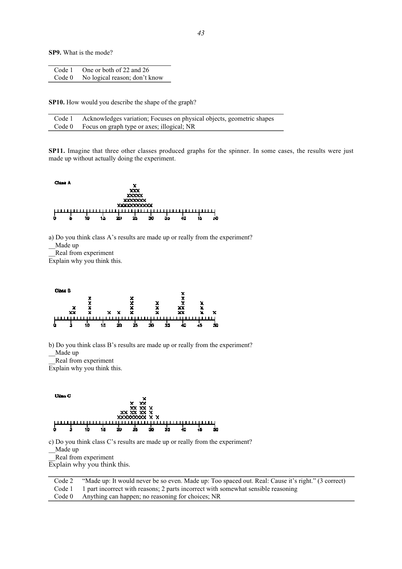**SP9.** What is the mode?

| Code 1 | One or both of 22 and 26      |
|--------|-------------------------------|
| Code 0 | No logical reason; don't know |

**SP10.** How would you describe the shape of the graph?

| Code 1 Acknowledges variation; Focuses on physical objects, geometric shapes |
|------------------------------------------------------------------------------|
| Code 0 Focus on graph type or axes; illogical; NR                            |

**SP11.** Imagine that three other classes produced graphs for the spinner. In some cases, the results were just made up without actually doing the experiment.



a) Do you think class A's results are made up or really from the experiment? \_\_Made up

\_\_Real from experiment

Explain why you think this.



b) Do you think class B's results are made up or really from the experiment? \_\_Made up

\_\_Real from experiment

Explain why you think this.



c) Do you think class C's results are made up or really from the experiment?

\_\_Made up

\_\_Real from experiment

Explain why you think this.

| Code 2 | "Made up: It would never be so even. Made up: Too spaced out. Real: Cause it's right." (3 correct) |
|--------|----------------------------------------------------------------------------------------------------|
|        | Code 1 1 part incorrect with reasons; 2 parts incorrect with somewhat sensible reasoning           |
|        | Code 0 Anything can happen; no reasoning for choices; NR                                           |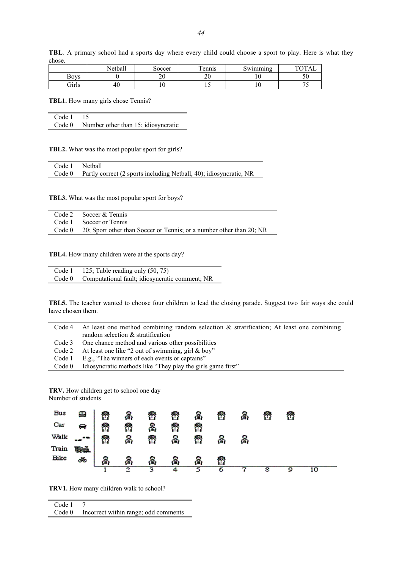|             | 11<br>Netball | Soccer   | $\mathbf{r}$<br>ennis | -<br>Swimming | $T\cap T$ A 1 |
|-------------|---------------|----------|-----------------------|---------------|---------------|
| <b>Boys</b> |               | n۵<br>∠∪ | nΩ<br>∠∪              | ±V.           | IJν           |
| Girls       | 40            |          | ⊥ ~                   | ⊥ ∪           |               |

**TBL**. A primary school had a sports day where every child could choose a sport to play. Here is what they chose.

**TBL1.** How many girls chose Tennis?

Code 1 15 Code 0 Number other than 15; idiosyncratic

**TBL2.** What was the most popular sport for girls?

| Code 1 Netball |                                                                           |
|----------------|---------------------------------------------------------------------------|
|                | Code 0 Partly correct (2 sports including Netball, 40); idiosyncratic, NR |

**TBL3.** What was the most popular sport for boys?

| Code 2 Soccer & Tennis                                                      |
|-----------------------------------------------------------------------------|
| Code 1 Soccer or Tennis                                                     |
| Code 0 20; Sport other than Soccer or Tennis; or a number other than 20; NR |

**TBL4.** How many children were at the sports day?

| Code 1 | 125; Table reading only (50, 75)                      |
|--------|-------------------------------------------------------|
|        | Code 0 Computational fault; idiosyncratic comment; NR |

**TBL5.** The teacher wanted to choose four children to lead the closing parade. Suggest two fair ways she could have chosen them.

| Code 4 | At least one method combining random selection $\&$ stratification; At least one combining |
|--------|--------------------------------------------------------------------------------------------|
|        | random selection $&$ stratification                                                        |
| Code 3 | One chance method and various other possibilities                                          |
| Code 2 | At least one like "2 out of swimming, girl & boy"                                          |
| Code 1 | E.g., "The winners of each events or captains"                                             |
| Code 0 | Idiosyncratic methods like "They play the girls game first"                                |

**TRV.** How children get to school one day Number of students



**TRV1.** How many children walk to school?

Code 1 7<br>Code 0 In

Incorrect within range; odd comments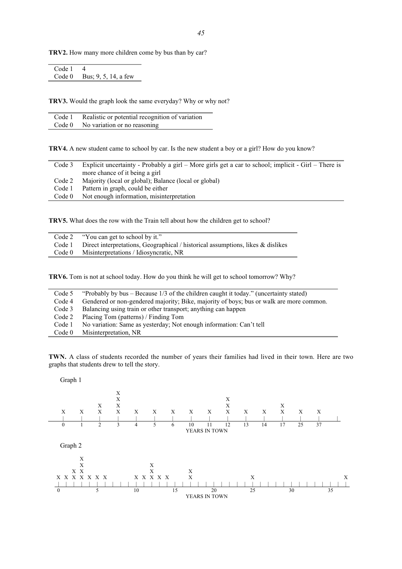**TRV2.** How many more children come by bus than by car?

| Code 1 |                               |
|--------|-------------------------------|
|        | Code $0$ Bus; 9, 5, 14, a few |

**TRV3.** Would the graph look the same everyday? Why or why not?

| Code 1 Realistic or potential recognition of variation |
|--------------------------------------------------------|
| Code $0$ No variation or no reasoning                  |

**TRV4.** A new student came to school by car. Is the new student a boy or a girl? How do you know?

| Code 3            | Explicit uncertainty - Probably a girl – More girls get a car to school; implicit - Girl – There is<br>more chance of it being a girl |
|-------------------|---------------------------------------------------------------------------------------------------------------------------------------|
| Code 2            | Majority (local or global); Balance (local or global)                                                                                 |
| Code 1            | Pattern in graph, could be either                                                                                                     |
| Code <sub>0</sub> | Not enough information, misinterpretation                                                                                             |

**TRV5.** What does the row with the Train tell about how the children get to school?

| Code 2 "You can get to school by it."                                                  |
|----------------------------------------------------------------------------------------|
| Code 1 Direct interpretations, Geographical / historical assumptions, likes & dislikes |
| Code 0 Misinterpretations / Idiosyncratic, NR                                          |

**TRV6.** Tom is not at school today. How do you think he will get to school tomorrow? Why?

| Code 5 | "Probably by bus – Because $1/3$ of the children caught it today." (uncertainty stated) |
|--------|-----------------------------------------------------------------------------------------|
| Code 4 | Gendered or non-gendered majority; Bike, majority of boys; bus or walk are more common. |
| Code 3 | Balancing using train or other transport; anything can happen                           |
| Code 2 | Placing Tom (patterns) / Finding Tom                                                    |
| Code 1 | No variation: Same as yesterday; Not enough information: Can't tell                     |
| Code 0 | Misinterpretation, NR                                                                   |

**TWN.** A class of students recorded the number of years their families had lived in their town. Here are two graphs that students drew to tell the story.